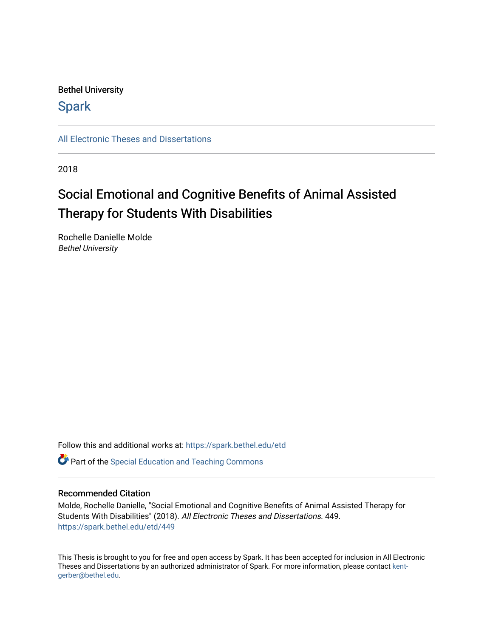## Bethel University

# **Spark**

[All Electronic Theses and Dissertations](https://spark.bethel.edu/etd) 

2018

# Social Emotional and Cognitive Benefits of Animal Assisted Therapy for Students With Disabilities

Rochelle Danielle Molde Bethel University

Follow this and additional works at: [https://spark.bethel.edu/etd](https://spark.bethel.edu/etd?utm_source=spark.bethel.edu%2Fetd%2F449&utm_medium=PDF&utm_campaign=PDFCoverPages)

**C** Part of the Special Education and Teaching Commons

### Recommended Citation

Molde, Rochelle Danielle, "Social Emotional and Cognitive Benefits of Animal Assisted Therapy for Students With Disabilities" (2018). All Electronic Theses and Dissertations. 449. [https://spark.bethel.edu/etd/449](https://spark.bethel.edu/etd/449?utm_source=spark.bethel.edu%2Fetd%2F449&utm_medium=PDF&utm_campaign=PDFCoverPages)

This Thesis is brought to you for free and open access by Spark. It has been accepted for inclusion in All Electronic Theses and Dissertations by an authorized administrator of Spark. For more information, please contact [kent](mailto:kent-gerber@bethel.edu)[gerber@bethel.edu.](mailto:kent-gerber@bethel.edu)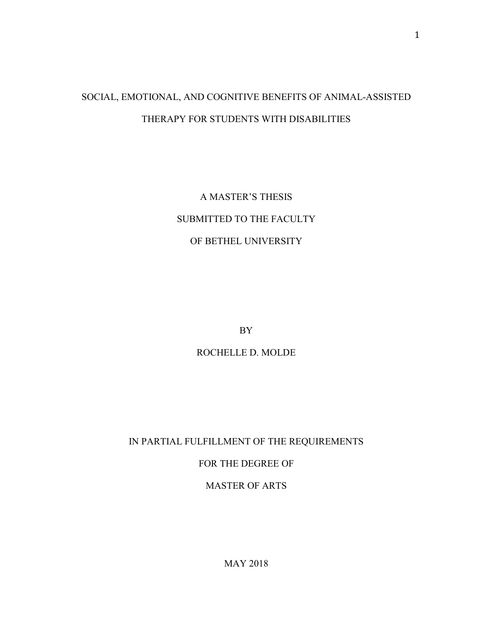# SOCIAL, EMOTIONAL, AND COGNITIVE BENEFITS OF ANIMAL-ASSISTED THERAPY FOR STUDENTS WITH DISABILITIES

A MASTER'S THESIS SUBMITTED TO THE FACULTY OF BETHEL UNIVERSITY

BY

ROCHELLE D. MOLDE

IN PARTIAL FULFILLMENT OF THE REQUIREMENTS

FOR THE DEGREE OF

MASTER OF ARTS

1

MAY 2018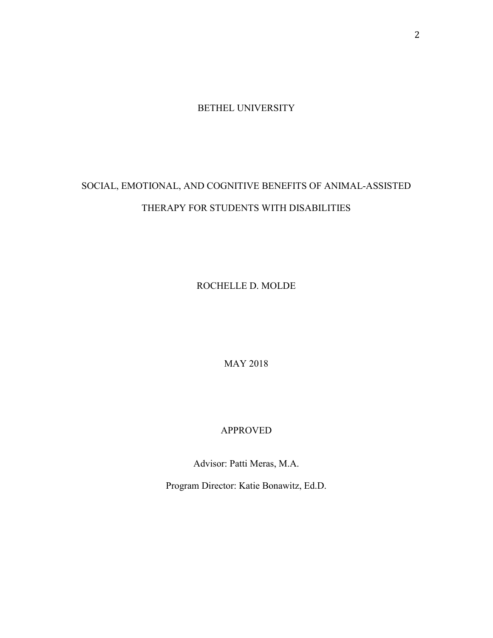BETHEL UNIVERSITY

# SOCIAL, EMOTIONAL, AND COGNITIVE BENEFITS OF ANIMAL-ASSISTED THERAPY FOR STUDENTS WITH DISABILITIES

ROCHELLE D. MOLDE

MAY 2018

# APPROVED

Advisor: Patti Meras, M.A.

Program Director: Katie Bonawitz, Ed.D.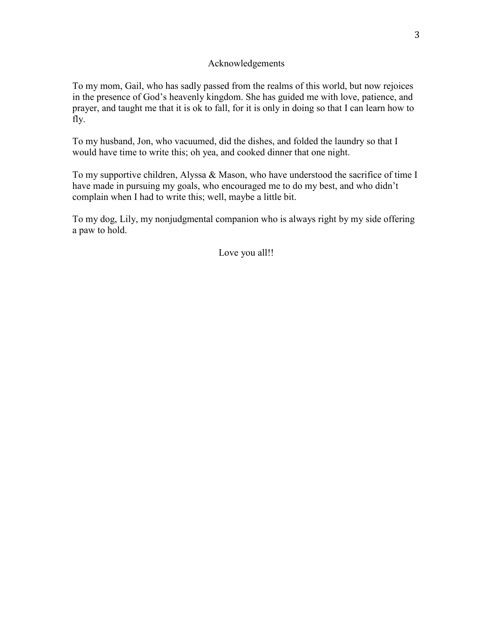### Acknowledgements

To my mom, Gail, who has sadly passed from the realms of this world, but now rejoices in the presence of God's heavenly kingdom. She has guided me with love, patience, and prayer, and taught me that it is ok to fall, for it is only in doing so that I can learn how to fly.

To my husband, Jon, who vacuumed, did the dishes, and folded the laundry so that I would have time to write this; oh yea, and cooked dinner that one night.

To my supportive children, Alyssa & Mason, who have understood the sacrifice of time I have made in pursuing my goals, who encouraged me to do my best, and who didn't complain when I had to write this; well, maybe a little bit.

To my dog, Lily, my nonjudgmental companion who is always right by my side offering a paw to hold.

Love you all!!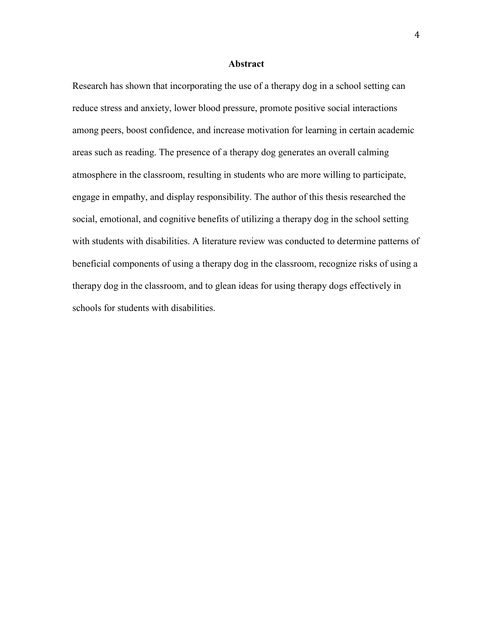### **Abstract**

Research has shown that incorporating the use of a therapy dog in a school setting can reduce stress and anxiety, lower blood pressure, promote positive social interactions among peers, boost confidence, and increase motivation for learning in certain academic areas such as reading. The presence of a therapy dog generates an overall calming atmosphere in the classroom, resulting in students who are more willing to participate, engage in empathy, and display responsibility. The author of this thesis researched the social, emotional, and cognitive benefits of utilizing a therapy dog in the school setting with students with disabilities. A literature review was conducted to determine patterns of beneficial components of using a therapy dog in the classroom, recognize risks of using a therapy dog in the classroom, and to glean ideas for using therapy dogs effectively in schools for students with disabilities.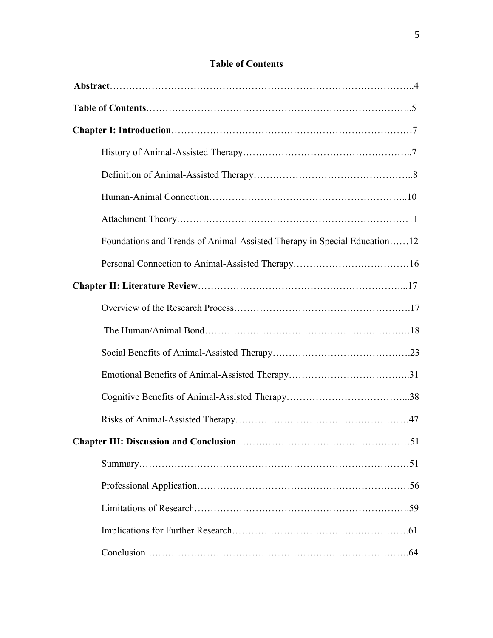| Foundations and Trends of Animal-Assisted Therapy in Special Education12 |
|--------------------------------------------------------------------------|
|                                                                          |
|                                                                          |
|                                                                          |
|                                                                          |
|                                                                          |
|                                                                          |
|                                                                          |
|                                                                          |
|                                                                          |
|                                                                          |
|                                                                          |
|                                                                          |
|                                                                          |
|                                                                          |

# **Table of Contents**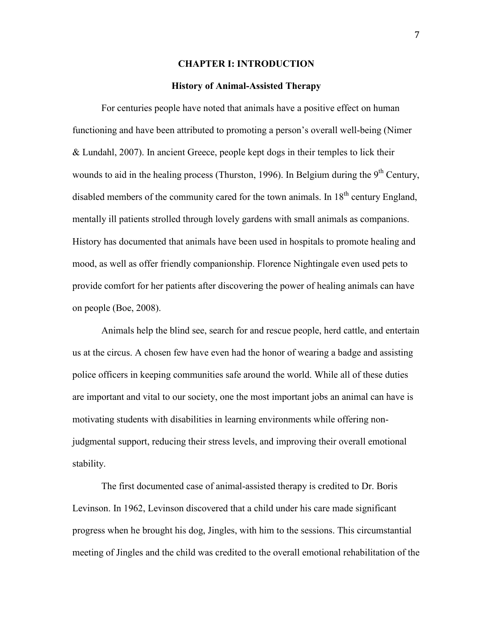#### **CHAPTER I: INTRODUCTION**

#### **History of Animal-Assisted Therapy**

For centuries people have noted that animals have a positive effect on human functioning and have been attributed to promoting a person's overall well-being (Nimer & Lundahl, 2007). In ancient Greece, people kept dogs in their temples to lick their wounds to aid in the healing process (Thurston, 1996). In Belgium during the  $9<sup>th</sup>$  Century, disabled members of the community cared for the town animals. In  $18<sup>th</sup>$  century England, mentally ill patients strolled through lovely gardens with small animals as companions. History has documented that animals have been used in hospitals to promote healing and mood, as well as offer friendly companionship. Florence Nightingale even used pets to provide comfort for her patients after discovering the power of healing animals can have on people (Boe, 2008).

Animals help the blind see, search for and rescue people, herd cattle, and entertain us at the circus. A chosen few have even had the honor of wearing a badge and assisting police officers in keeping communities safe around the world. While all of these duties are important and vital to our society, one the most important jobs an animal can have is motivating students with disabilities in learning environments while offering nonjudgmental support, reducing their stress levels, and improving their overall emotional stability.

The first documented case of animal-assisted therapy is credited to Dr. Boris Levinson. In 1962, Levinson discovered that a child under his care made significant progress when he brought his dog, Jingles, with him to the sessions. This circumstantial meeting of Jingles and the child was credited to the overall emotional rehabilitation of the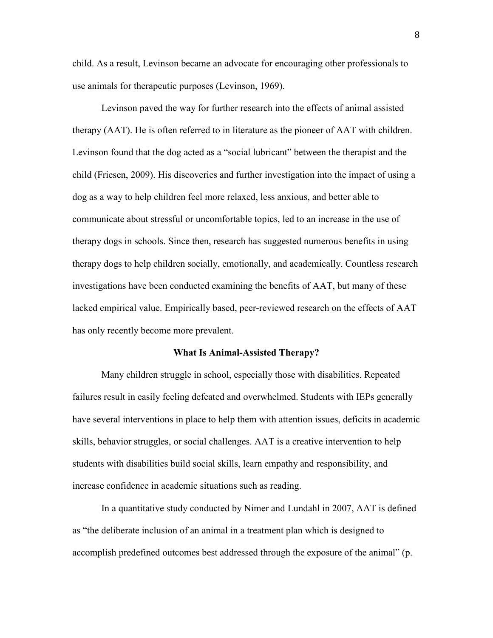child. As a result, Levinson became an advocate for encouraging other professionals to use animals for therapeutic purposes (Levinson, 1969).

 Levinson paved the way for further research into the effects of animal assisted therapy (AAT). He is often referred to in literature as the pioneer of AAT with children. Levinson found that the dog acted as a "social lubricant" between the therapist and the child (Friesen, 2009). His discoveries and further investigation into the impact of using a dog as a way to help children feel more relaxed, less anxious, and better able to communicate about stressful or uncomfortable topics, led to an increase in the use of therapy dogs in schools. Since then, research has suggested numerous benefits in using therapy dogs to help children socially, emotionally, and academically. Countless research investigations have been conducted examining the benefits of AAT, but many of these lacked empirical value. Empirically based, peer-reviewed research on the effects of AAT has only recently become more prevalent.

#### **What Is Animal-Assisted Therapy?**

 Many children struggle in school, especially those with disabilities. Repeated failures result in easily feeling defeated and overwhelmed. Students with IEPs generally have several interventions in place to help them with attention issues, deficits in academic skills, behavior struggles, or social challenges. AAT is a creative intervention to help students with disabilities build social skills, learn empathy and responsibility, and increase confidence in academic situations such as reading.

 In a quantitative study conducted by Nimer and Lundahl in 2007, AAT is defined as "the deliberate inclusion of an animal in a treatment plan which is designed to accomplish predefined outcomes best addressed through the exposure of the animal" (p.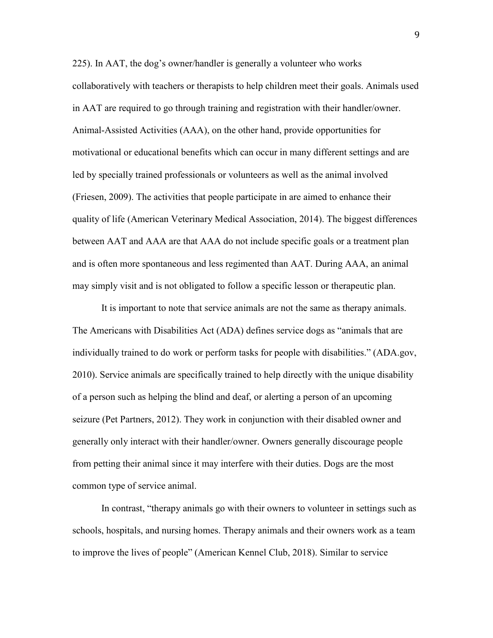225). In AAT, the dog's owner/handler is generally a volunteer who works collaboratively with teachers or therapists to help children meet their goals. Animals used in AAT are required to go through training and registration with their handler/owner. Animal-Assisted Activities (AAA), on the other hand, provide opportunities for motivational or educational benefits which can occur in many different settings and are led by specially trained professionals or volunteers as well as the animal involved (Friesen, 2009). The activities that people participate in are aimed to enhance their quality of life (American Veterinary Medical Association, 2014). The biggest differences between AAT and AAA are that AAA do not include specific goals or a treatment plan and is often more spontaneous and less regimented than AAT. During AAA, an animal may simply visit and is not obligated to follow a specific lesson or therapeutic plan.

It is important to note that service animals are not the same as therapy animals. The Americans with Disabilities Act (ADA) defines service dogs as "animals that are individually trained to do work or perform tasks for people with disabilities." (ADA.gov, 2010). Service animals are specifically trained to help directly with the unique disability of a person such as helping the blind and deaf, or alerting a person of an upcoming seizure (Pet Partners, 2012). They work in conjunction with their disabled owner and generally only interact with their handler/owner. Owners generally discourage people from petting their animal since it may interfere with their duties. Dogs are the most common type of service animal.

In contrast, "therapy animals go with their owners to volunteer in settings such as schools, hospitals, and nursing homes. Therapy animals and their owners work as a team to improve the lives of people" (American Kennel Club, 2018). Similar to service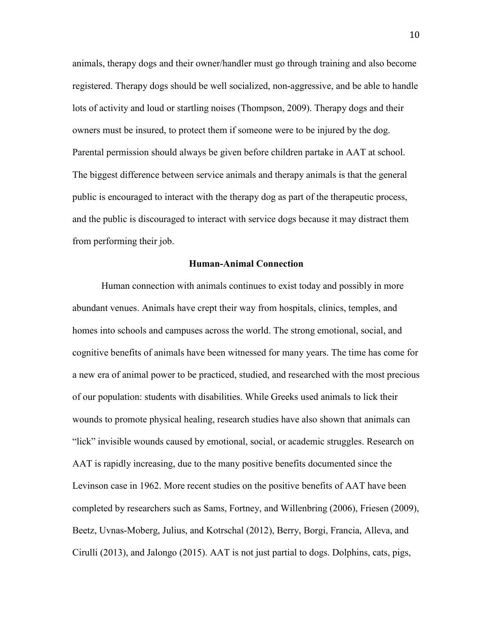animals, therapy dogs and their owner/handler must go through training and also become registered. Therapy dogs should be well socialized, non-aggressive, and be able to handle lots of activity and loud or startling noises (Thompson, 2009). Therapy dogs and their owners must be insured, to protect them if someone were to be injured by the dog. Parental permission should always be given before children partake in AAT at school. The biggest difference between service animals and therapy animals is that the general public is encouraged to interact with the therapy dog as part of the therapeutic process, and the public is discouraged to interact with service dogs because it may distract them from performing their job.

#### **Human-Animal Connection**

 Human connection with animals continues to exist today and possibly in more abundant venues. Animals have crept their way from hospitals, clinics, temples, and homes into schools and campuses across the world. The strong emotional, social, and cognitive benefits of animals have been witnessed for many years. The time has come for a new era of animal power to be practiced, studied, and researched with the most precious of our population: students with disabilities. While Greeks used animals to lick their wounds to promote physical healing, research studies have also shown that animals can "lick" invisible wounds caused by emotional, social, or academic struggles. Research on AAT is rapidly increasing, due to the many positive benefits documented since the Levinson case in 1962. More recent studies on the positive benefits of AAT have been completed by researchers such as Sams, Fortney, and Willenbring (2006), Friesen (2009), Beetz, Uvnas-Moberg, Julius, and Kotrschal (2012), Berry, Borgi, Francia, Alleva, and Cirulli (2013), and Jalongo (2015). AAT is not just partial to dogs. Dolphins, cats, pigs,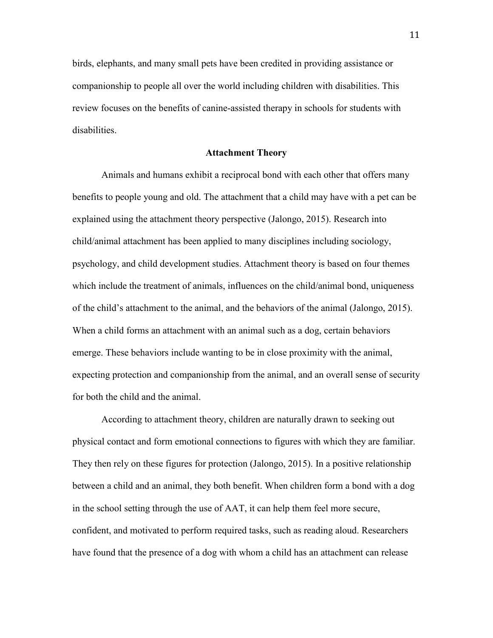birds, elephants, and many small pets have been credited in providing assistance or companionship to people all over the world including children with disabilities. This review focuses on the benefits of canine-assisted therapy in schools for students with disabilities.

#### **Attachment Theory**

 Animals and humans exhibit a reciprocal bond with each other that offers many benefits to people young and old. The attachment that a child may have with a pet can be explained using the attachment theory perspective (Jalongo, 2015). Research into child/animal attachment has been applied to many disciplines including sociology, psychology, and child development studies. Attachment theory is based on four themes which include the treatment of animals, influences on the child/animal bond, uniqueness of the child's attachment to the animal, and the behaviors of the animal (Jalongo, 2015). When a child forms an attachment with an animal such as a dog, certain behaviors emerge. These behaviors include wanting to be in close proximity with the animal, expecting protection and companionship from the animal, and an overall sense of security for both the child and the animal.

According to attachment theory, children are naturally drawn to seeking out physical contact and form emotional connections to figures with which they are familiar. They then rely on these figures for protection (Jalongo, 2015). In a positive relationship between a child and an animal, they both benefit. When children form a bond with a dog in the school setting through the use of AAT, it can help them feel more secure, confident, and motivated to perform required tasks, such as reading aloud. Researchers have found that the presence of a dog with whom a child has an attachment can release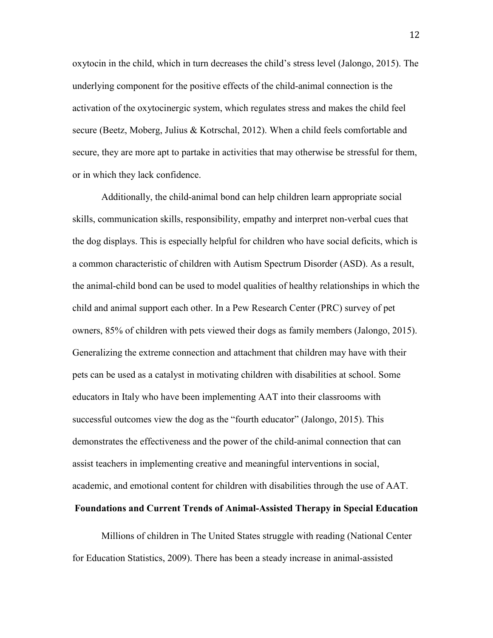oxytocin in the child, which in turn decreases the child's stress level (Jalongo, 2015). The underlying component for the positive effects of the child-animal connection is the activation of the oxytocinergic system, which regulates stress and makes the child feel secure (Beetz, Moberg, Julius & Kotrschal, 2012). When a child feels comfortable and secure, they are more apt to partake in activities that may otherwise be stressful for them, or in which they lack confidence.

 Additionally, the child-animal bond can help children learn appropriate social skills, communication skills, responsibility, empathy and interpret non-verbal cues that the dog displays. This is especially helpful for children who have social deficits, which is a common characteristic of children with Autism Spectrum Disorder (ASD). As a result, the animal-child bond can be used to model qualities of healthy relationships in which the child and animal support each other. In a Pew Research Center (PRC) survey of pet owners, 85% of children with pets viewed their dogs as family members (Jalongo, 2015). Generalizing the extreme connection and attachment that children may have with their pets can be used as a catalyst in motivating children with disabilities at school. Some educators in Italy who have been implementing AAT into their classrooms with successful outcomes view the dog as the "fourth educator" (Jalongo, 2015). This demonstrates the effectiveness and the power of the child-animal connection that can assist teachers in implementing creative and meaningful interventions in social, academic, and emotional content for children with disabilities through the use of AAT.

## **Foundations and Current Trends of Animal-Assisted Therapy in Special Education**

Millions of children in The United States struggle with reading (National Center for Education Statistics, 2009). There has been a steady increase in animal-assisted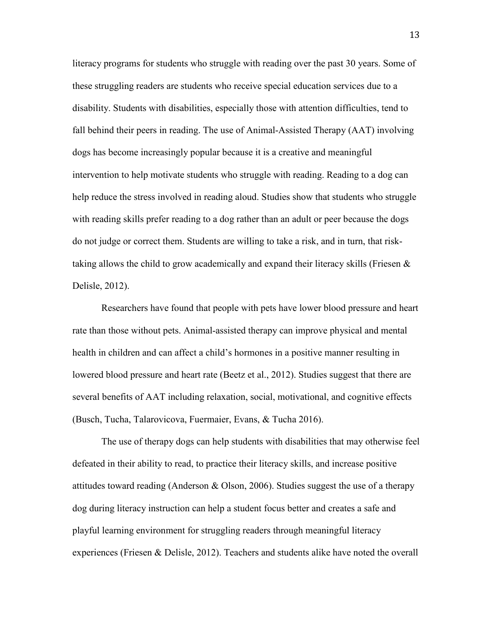literacy programs for students who struggle with reading over the past 30 years. Some of these struggling readers are students who receive special education services due to a disability. Students with disabilities, especially those with attention difficulties, tend to fall behind their peers in reading. The use of Animal-Assisted Therapy (AAT) involving dogs has become increasingly popular because it is a creative and meaningful intervention to help motivate students who struggle with reading. Reading to a dog can help reduce the stress involved in reading aloud. Studies show that students who struggle with reading skills prefer reading to a dog rather than an adult or peer because the dogs do not judge or correct them. Students are willing to take a risk, and in turn, that risktaking allows the child to grow academically and expand their literacy skills (Friesen  $\&$ Delisle, 2012).

 Researchers have found that people with pets have lower blood pressure and heart rate than those without pets. Animal-assisted therapy can improve physical and mental health in children and can affect a child's hormones in a positive manner resulting in lowered blood pressure and heart rate (Beetz et al., 2012). Studies suggest that there are several benefits of AAT including relaxation, social, motivational, and cognitive effects (Busch, Tucha, Talarovicova, Fuermaier, Evans, & Tucha 2016).

 The use of therapy dogs can help students with disabilities that may otherwise feel defeated in their ability to read, to practice their literacy skills, and increase positive attitudes toward reading (Anderson & Olson, 2006). Studies suggest the use of a therapy dog during literacy instruction can help a student focus better and creates a safe and playful learning environment for struggling readers through meaningful literacy experiences (Friesen & Delisle, 2012). Teachers and students alike have noted the overall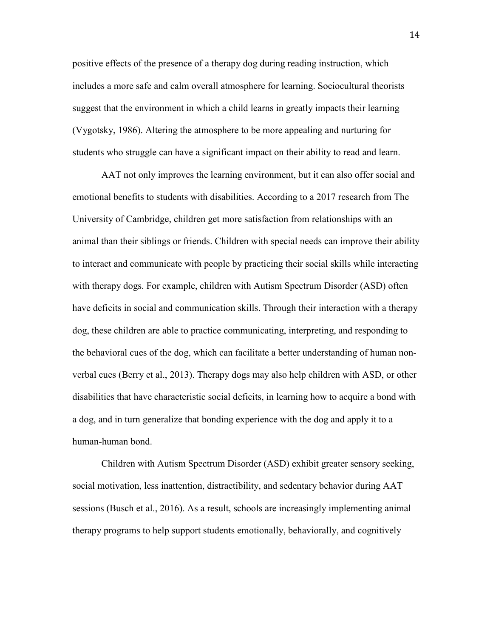positive effects of the presence of a therapy dog during reading instruction, which includes a more safe and calm overall atmosphere for learning. Sociocultural theorists suggest that the environment in which a child learns in greatly impacts their learning (Vygotsky, 1986). Altering the atmosphere to be more appealing and nurturing for students who struggle can have a significant impact on their ability to read and learn.

AAT not only improves the learning environment, but it can also offer social and emotional benefits to students with disabilities. According to a 2017 research from The University of Cambridge, children get more satisfaction from relationships with an animal than their siblings or friends. Children with special needs can improve their ability to interact and communicate with people by practicing their social skills while interacting with therapy dogs. For example, children with Autism Spectrum Disorder (ASD) often have deficits in social and communication skills. Through their interaction with a therapy dog, these children are able to practice communicating, interpreting, and responding to the behavioral cues of the dog, which can facilitate a better understanding of human nonverbal cues (Berry et al., 2013). Therapy dogs may also help children with ASD, or other disabilities that have characteristic social deficits, in learning how to acquire a bond with a dog, and in turn generalize that bonding experience with the dog and apply it to a human-human bond.

 Children with Autism Spectrum Disorder (ASD) exhibit greater sensory seeking, social motivation, less inattention, distractibility, and sedentary behavior during AAT sessions (Busch et al., 2016). As a result, schools are increasingly implementing animal therapy programs to help support students emotionally, behaviorally, and cognitively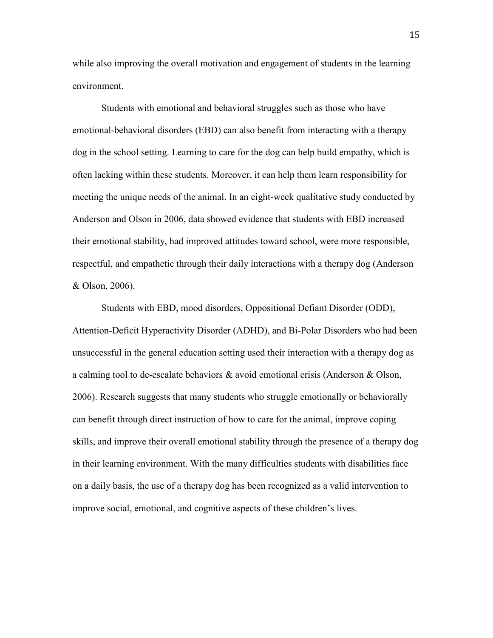while also improving the overall motivation and engagement of students in the learning environment.

Students with emotional and behavioral struggles such as those who have emotional-behavioral disorders (EBD) can also benefit from interacting with a therapy dog in the school setting. Learning to care for the dog can help build empathy, which is often lacking within these students. Moreover, it can help them learn responsibility for meeting the unique needs of the animal. In an eight-week qualitative study conducted by Anderson and Olson in 2006, data showed evidence that students with EBD increased their emotional stability, had improved attitudes toward school, were more responsible, respectful, and empathetic through their daily interactions with a therapy dog (Anderson & Olson, 2006).

 Students with EBD, mood disorders, Oppositional Defiant Disorder (ODD), Attention-Deficit Hyperactivity Disorder (ADHD), and Bi-Polar Disorders who had been unsuccessful in the general education setting used their interaction with a therapy dog as a calming tool to de-escalate behaviors & avoid emotional crisis (Anderson & Olson, 2006). Research suggests that many students who struggle emotionally or behaviorally can benefit through direct instruction of how to care for the animal, improve coping skills, and improve their overall emotional stability through the presence of a therapy dog in their learning environment. With the many difficulties students with disabilities face on a daily basis, the use of a therapy dog has been recognized as a valid intervention to improve social, emotional, and cognitive aspects of these children's lives.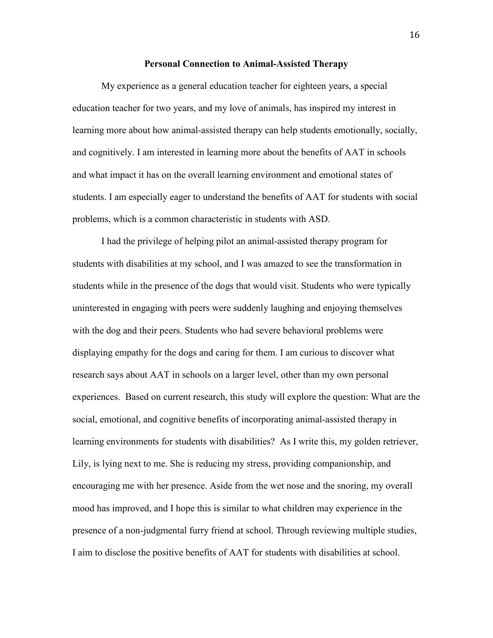#### **Personal Connection to Animal-Assisted Therapy**

My experience as a general education teacher for eighteen years, a special education teacher for two years, and my love of animals, has inspired my interest in learning more about how animal-assisted therapy can help students emotionally, socially, and cognitively. I am interested in learning more about the benefits of AAT in schools and what impact it has on the overall learning environment and emotional states of students. I am especially eager to understand the benefits of AAT for students with social problems, which is a common characteristic in students with ASD.

I had the privilege of helping pilot an animal-assisted therapy program for students with disabilities at my school, and I was amazed to see the transformation in students while in the presence of the dogs that would visit. Students who were typically uninterested in engaging with peers were suddenly laughing and enjoying themselves with the dog and their peers. Students who had severe behavioral problems were displaying empathy for the dogs and caring for them. I am curious to discover what research says about AAT in schools on a larger level, other than my own personal experiences. Based on current research, this study will explore the question: What are the social, emotional, and cognitive benefits of incorporating animal-assisted therapy in learning environments for students with disabilities? As I write this, my golden retriever, Lily, is lying next to me. She is reducing my stress, providing companionship, and encouraging me with her presence. Aside from the wet nose and the snoring, my overall mood has improved, and I hope this is similar to what children may experience in the presence of a non-judgmental furry friend at school. Through reviewing multiple studies, I aim to disclose the positive benefits of AAT for students with disabilities at school.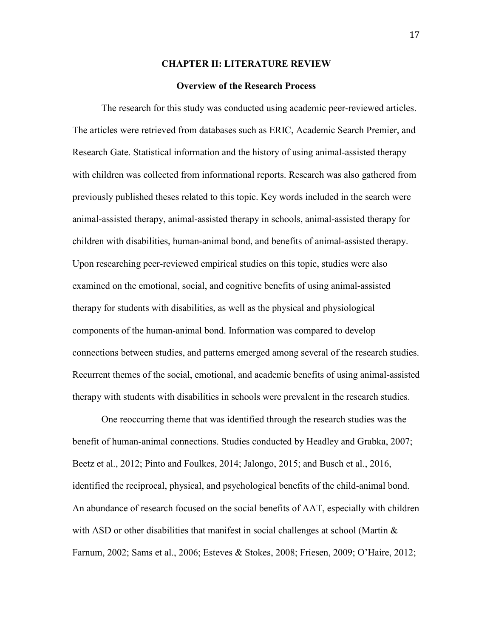#### **CHAPTER II: LITERATURE REVIEW**

#### **Overview of the Research Process**

 The research for this study was conducted using academic peer-reviewed articles. The articles were retrieved from databases such as ERIC, Academic Search Premier, and Research Gate. Statistical information and the history of using animal-assisted therapy with children was collected from informational reports. Research was also gathered from previously published theses related to this topic. Key words included in the search were animal-assisted therapy, animal-assisted therapy in schools, animal-assisted therapy for children with disabilities, human-animal bond, and benefits of animal-assisted therapy. Upon researching peer-reviewed empirical studies on this topic, studies were also examined on the emotional, social, and cognitive benefits of using animal-assisted therapy for students with disabilities, as well as the physical and physiological components of the human-animal bond. Information was compared to develop connections between studies, and patterns emerged among several of the research studies. Recurrent themes of the social, emotional, and academic benefits of using animal-assisted therapy with students with disabilities in schools were prevalent in the research studies.

One reoccurring theme that was identified through the research studies was the benefit of human-animal connections. Studies conducted by Headley and Grabka, 2007; Beetz et al., 2012; Pinto and Foulkes, 2014; Jalongo, 2015; and Busch et al., 2016, identified the reciprocal, physical, and psychological benefits of the child-animal bond. An abundance of research focused on the social benefits of AAT, especially with children with ASD or other disabilities that manifest in social challenges at school (Martin & Farnum, 2002; Sams et al., 2006; Esteves & Stokes, 2008; Friesen, 2009; O'Haire, 2012;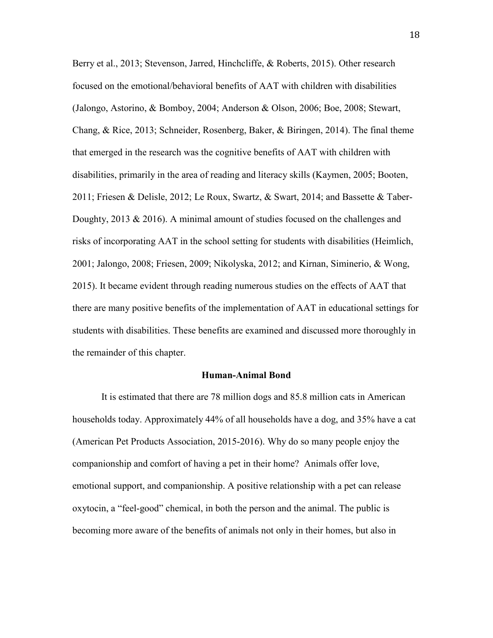Berry et al., 2013; Stevenson, Jarred, Hinchcliffe, & Roberts, 2015). Other research focused on the emotional/behavioral benefits of AAT with children with disabilities (Jalongo, Astorino, & Bomboy, 2004; Anderson & Olson, 2006; Boe, 2008; Stewart, Chang, & Rice, 2013; Schneider, Rosenberg, Baker, & Biringen, 2014). The final theme that emerged in the research was the cognitive benefits of AAT with children with disabilities, primarily in the area of reading and literacy skills (Kaymen, 2005; Booten, 2011; Friesen & Delisle, 2012; Le Roux, Swartz, & Swart, 2014; and Bassette & Taber-Doughty,  $2013 \& 2016$ ). A minimal amount of studies focused on the challenges and risks of incorporating AAT in the school setting for students with disabilities (Heimlich, 2001; Jalongo, 2008; Friesen, 2009; Nikolyska, 2012; and Kirnan, Siminerio, & Wong, 2015). It became evident through reading numerous studies on the effects of AAT that there are many positive benefits of the implementation of AAT in educational settings for students with disabilities. These benefits are examined and discussed more thoroughly in the remainder of this chapter.

#### **Human-Animal Bond**

It is estimated that there are 78 million dogs and 85.8 million cats in American households today. Approximately 44% of all households have a dog, and 35% have a cat (American Pet Products Association, 2015-2016). Why do so many people enjoy the companionship and comfort of having a pet in their home? Animals offer love, emotional support, and companionship. A positive relationship with a pet can release oxytocin, a "feel-good" chemical, in both the person and the animal. The public is becoming more aware of the benefits of animals not only in their homes, but also in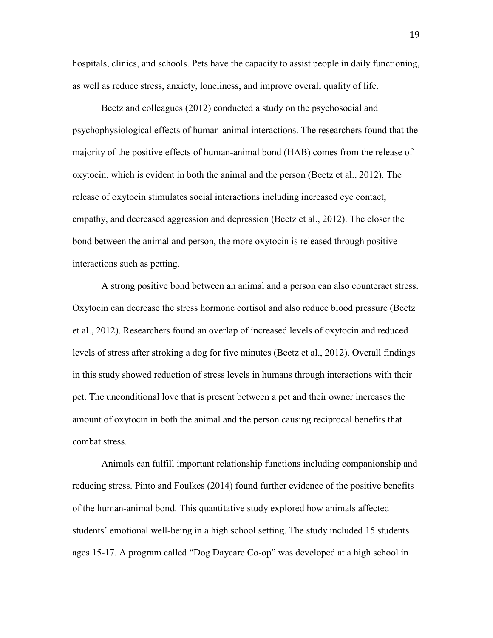hospitals, clinics, and schools. Pets have the capacity to assist people in daily functioning, as well as reduce stress, anxiety, loneliness, and improve overall quality of life.

Beetz and colleagues (2012) conducted a study on the psychosocial and psychophysiological effects of human-animal interactions. The researchers found that the majority of the positive effects of human-animal bond (HAB) comes from the release of oxytocin, which is evident in both the animal and the person (Beetz et al., 2012). The release of oxytocin stimulates social interactions including increased eye contact, empathy, and decreased aggression and depression (Beetz et al., 2012). The closer the bond between the animal and person, the more oxytocin is released through positive interactions such as petting.

 A strong positive bond between an animal and a person can also counteract stress. Oxytocin can decrease the stress hormone cortisol and also reduce blood pressure (Beetz et al., 2012). Researchers found an overlap of increased levels of oxytocin and reduced levels of stress after stroking a dog for five minutes (Beetz et al., 2012). Overall findings in this study showed reduction of stress levels in humans through interactions with their pet. The unconditional love that is present between a pet and their owner increases the amount of oxytocin in both the animal and the person causing reciprocal benefits that combat stress.

Animals can fulfill important relationship functions including companionship and reducing stress. Pinto and Foulkes (2014) found further evidence of the positive benefits of the human-animal bond. This quantitative study explored how animals affected students' emotional well-being in a high school setting. The study included 15 students ages 15-17. A program called "Dog Daycare Co-op" was developed at a high school in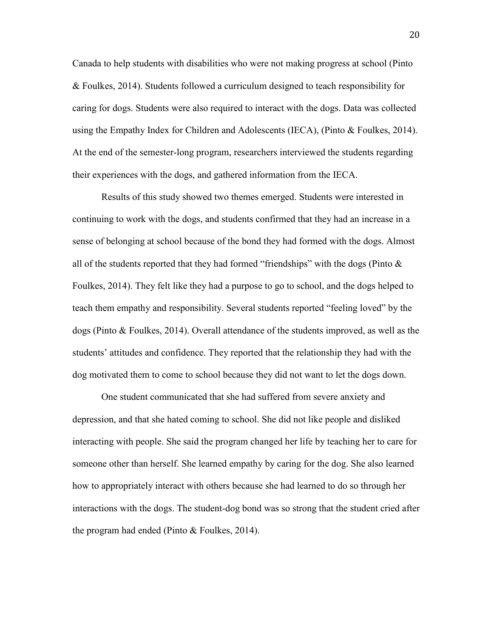Canada to help students with disabilities who were not making progress at school (Pinto & Foulkes, 2014). Students followed a curriculum designed to teach responsibility for caring for dogs. Students were also required to interact with the dogs. Data was collected using the Empathy Index for Children and Adolescents (IECA), (Pinto & Foulkes, 2014). At the end of the semester-long program, researchers interviewed the students regarding their experiences with the dogs, and gathered information from the IECA.

Results of this study showed two themes emerged. Students were interested in continuing to work with the dogs, and students confirmed that they had an increase in a sense of belonging at school because of the bond they had formed with the dogs. Almost all of the students reported that they had formed "friendships" with the dogs (Pinto  $\&$ Foulkes, 2014). They felt like they had a purpose to go to school, and the dogs helped to teach them empathy and responsibility. Several students reported "feeling loved" by the dogs (Pinto & Foulkes, 2014). Overall attendance of the students improved, as well as the students' attitudes and confidence. They reported that the relationship they had with the dog motivated them to come to school because they did not want to let the dogs down.

 One student communicated that she had suffered from severe anxiety and depression, and that she hated coming to school. She did not like people and disliked interacting with people. She said the program changed her life by teaching her to care for someone other than herself. She learned empathy by caring for the dog. She also learned how to appropriately interact with others because she had learned to do so through her interactions with the dogs. The student-dog bond was so strong that the student cried after the program had ended (Pinto & Foulkes, 2014).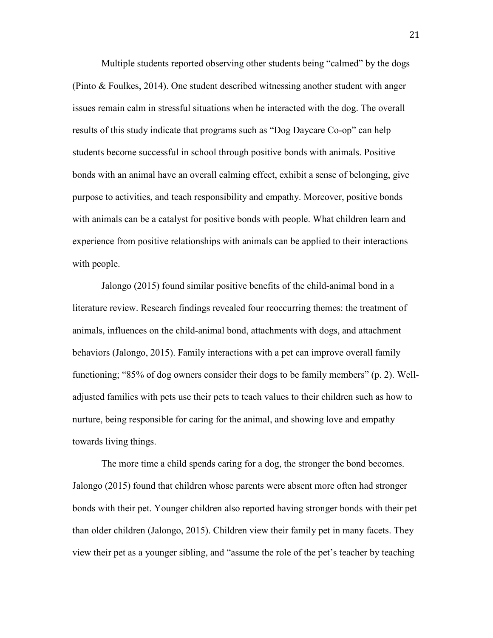Multiple students reported observing other students being "calmed" by the dogs (Pinto & Foulkes, 2014). One student described witnessing another student with anger issues remain calm in stressful situations when he interacted with the dog. The overall results of this study indicate that programs such as "Dog Daycare Co-op" can help students become successful in school through positive bonds with animals. Positive bonds with an animal have an overall calming effect, exhibit a sense of belonging, give purpose to activities, and teach responsibility and empathy. Moreover, positive bonds with animals can be a catalyst for positive bonds with people. What children learn and experience from positive relationships with animals can be applied to their interactions with people.

 Jalongo (2015) found similar positive benefits of the child-animal bond in a literature review. Research findings revealed four reoccurring themes: the treatment of animals, influences on the child-animal bond, attachments with dogs, and attachment behaviors (Jalongo, 2015). Family interactions with a pet can improve overall family functioning; "85% of dog owners consider their dogs to be family members" (p. 2). Welladjusted families with pets use their pets to teach values to their children such as how to nurture, being responsible for caring for the animal, and showing love and empathy towards living things.

The more time a child spends caring for a dog, the stronger the bond becomes. Jalongo (2015) found that children whose parents were absent more often had stronger bonds with their pet. Younger children also reported having stronger bonds with their pet than older children (Jalongo, 2015). Children view their family pet in many facets. They view their pet as a younger sibling, and "assume the role of the pet's teacher by teaching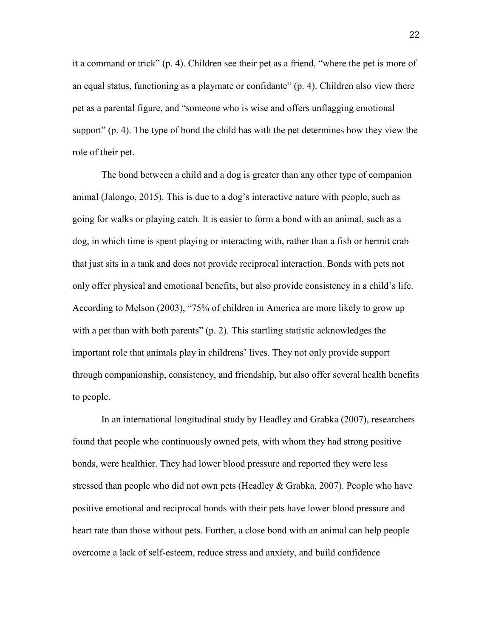it a command or trick" (p. 4). Children see their pet as a friend, "where the pet is more of an equal status, functioning as a playmate or confidante" (p. 4). Children also view there pet as a parental figure, and "someone who is wise and offers unflagging emotional support" (p. 4). The type of bond the child has with the pet determines how they view the role of their pet.

 The bond between a child and a dog is greater than any other type of companion animal (Jalongo, 2015). This is due to a dog's interactive nature with people, such as going for walks or playing catch. It is easier to form a bond with an animal, such as a dog, in which time is spent playing or interacting with, rather than a fish or hermit crab that just sits in a tank and does not provide reciprocal interaction. Bonds with pets not only offer physical and emotional benefits, but also provide consistency in a child's life. According to Melson (2003), "75% of children in America are more likely to grow up with a pet than with both parents" (p. 2). This startling statistic acknowledges the important role that animals play in childrens' lives. They not only provide support through companionship, consistency, and friendship, but also offer several health benefits to people.

 In an international longitudinal study by Headley and Grabka (2007), researchers found that people who continuously owned pets, with whom they had strong positive bonds, were healthier. They had lower blood pressure and reported they were less stressed than people who did not own pets (Headley & Grabka, 2007). People who have positive emotional and reciprocal bonds with their pets have lower blood pressure and heart rate than those without pets. Further, a close bond with an animal can help people overcome a lack of self-esteem, reduce stress and anxiety, and build confidence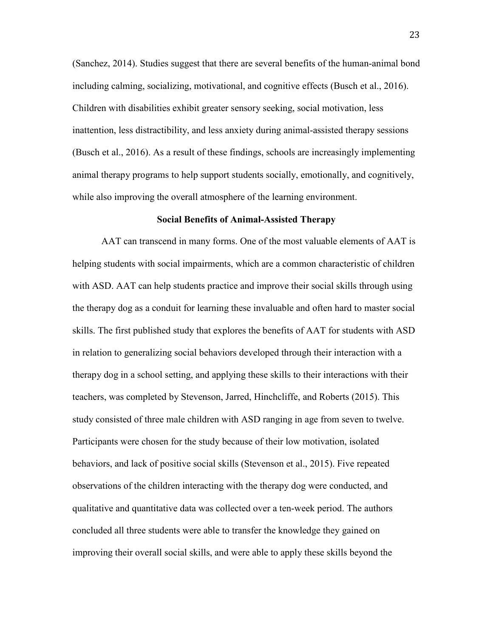(Sanchez, 2014). Studies suggest that there are several benefits of the human-animal bond including calming, socializing, motivational, and cognitive effects (Busch et al., 2016). Children with disabilities exhibit greater sensory seeking, social motivation, less inattention, less distractibility, and less anxiety during animal-assisted therapy sessions (Busch et al., 2016). As a result of these findings, schools are increasingly implementing animal therapy programs to help support students socially, emotionally, and cognitively, while also improving the overall atmosphere of the learning environment.

#### **Social Benefits of Animal-Assisted Therapy**

AAT can transcend in many forms. One of the most valuable elements of AAT is helping students with social impairments, which are a common characteristic of children with ASD. AAT can help students practice and improve their social skills through using the therapy dog as a conduit for learning these invaluable and often hard to master social skills. The first published study that explores the benefits of AAT for students with ASD in relation to generalizing social behaviors developed through their interaction with a therapy dog in a school setting, and applying these skills to their interactions with their teachers, was completed by Stevenson, Jarred, Hinchcliffe, and Roberts (2015). This study consisted of three male children with ASD ranging in age from seven to twelve. Participants were chosen for the study because of their low motivation, isolated behaviors, and lack of positive social skills (Stevenson et al., 2015). Five repeated observations of the children interacting with the therapy dog were conducted, and qualitative and quantitative data was collected over a ten-week period. The authors concluded all three students were able to transfer the knowledge they gained on improving their overall social skills, and were able to apply these skills beyond the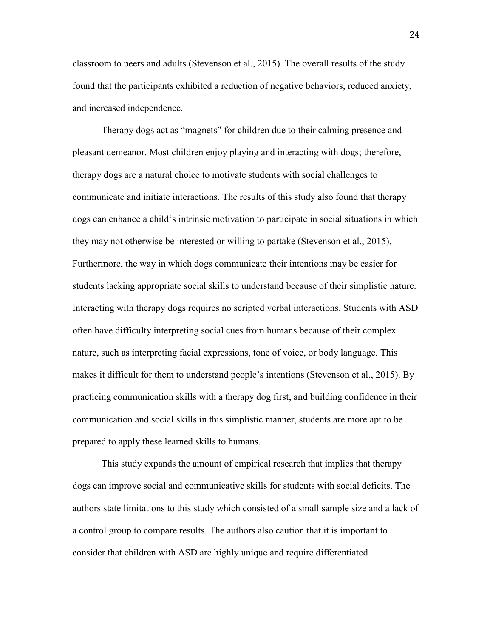classroom to peers and adults (Stevenson et al., 2015). The overall results of the study found that the participants exhibited a reduction of negative behaviors, reduced anxiety, and increased independence.

 Therapy dogs act as "magnets" for children due to their calming presence and pleasant demeanor. Most children enjoy playing and interacting with dogs; therefore, therapy dogs are a natural choice to motivate students with social challenges to communicate and initiate interactions. The results of this study also found that therapy dogs can enhance a child's intrinsic motivation to participate in social situations in which they may not otherwise be interested or willing to partake (Stevenson et al., 2015). Furthermore, the way in which dogs communicate their intentions may be easier for students lacking appropriate social skills to understand because of their simplistic nature. Interacting with therapy dogs requires no scripted verbal interactions. Students with ASD often have difficulty interpreting social cues from humans because of their complex nature, such as interpreting facial expressions, tone of voice, or body language. This makes it difficult for them to understand people's intentions (Stevenson et al., 2015). By practicing communication skills with a therapy dog first, and building confidence in their communication and social skills in this simplistic manner, students are more apt to be prepared to apply these learned skills to humans.

This study expands the amount of empirical research that implies that therapy dogs can improve social and communicative skills for students with social deficits. The authors state limitations to this study which consisted of a small sample size and a lack of a control group to compare results. The authors also caution that it is important to consider that children with ASD are highly unique and require differentiated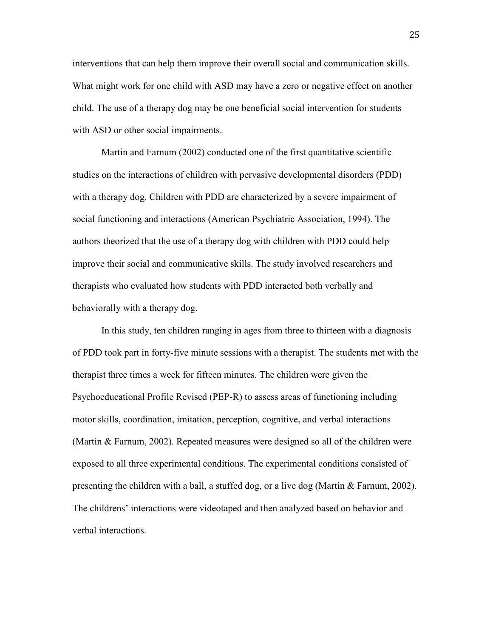interventions that can help them improve their overall social and communication skills. What might work for one child with ASD may have a zero or negative effect on another child. The use of a therapy dog may be one beneficial social intervention for students with ASD or other social impairments.

 Martin and Farnum (2002) conducted one of the first quantitative scientific studies on the interactions of children with pervasive developmental disorders (PDD) with a therapy dog. Children with PDD are characterized by a severe impairment of social functioning and interactions (American Psychiatric Association, 1994). The authors theorized that the use of a therapy dog with children with PDD could help improve their social and communicative skills. The study involved researchers and therapists who evaluated how students with PDD interacted both verbally and behaviorally with a therapy dog.

 In this study, ten children ranging in ages from three to thirteen with a diagnosis of PDD took part in forty-five minute sessions with a therapist. The students met with the therapist three times a week for fifteen minutes. The children were given the Psychoeducational Profile Revised (PEP-R) to assess areas of functioning including motor skills, coordination, imitation, perception, cognitive, and verbal interactions (Martin & Farnum, 2002). Repeated measures were designed so all of the children were exposed to all three experimental conditions. The experimental conditions consisted of presenting the children with a ball, a stuffed dog, or a live dog (Martin  $\&$  Farnum, 2002). The childrens' interactions were videotaped and then analyzed based on behavior and verbal interactions.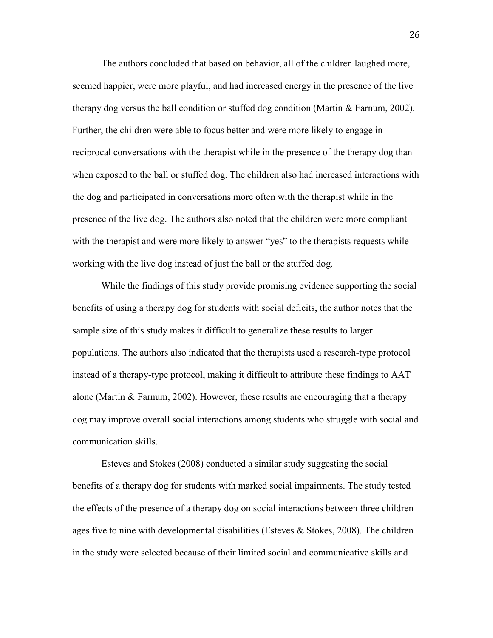The authors concluded that based on behavior, all of the children laughed more, seemed happier, were more playful, and had increased energy in the presence of the live therapy dog versus the ball condition or stuffed dog condition (Martin & Farnum, 2002). Further, the children were able to focus better and were more likely to engage in reciprocal conversations with the therapist while in the presence of the therapy dog than when exposed to the ball or stuffed dog. The children also had increased interactions with the dog and participated in conversations more often with the therapist while in the presence of the live dog. The authors also noted that the children were more compliant with the therapist and were more likely to answer "yes" to the therapists requests while working with the live dog instead of just the ball or the stuffed dog.

 While the findings of this study provide promising evidence supporting the social benefits of using a therapy dog for students with social deficits, the author notes that the sample size of this study makes it difficult to generalize these results to larger populations. The authors also indicated that the therapists used a research-type protocol instead of a therapy-type protocol, making it difficult to attribute these findings to AAT alone (Martin & Farnum, 2002). However, these results are encouraging that a therapy dog may improve overall social interactions among students who struggle with social and communication skills.

 Esteves and Stokes (2008) conducted a similar study suggesting the social benefits of a therapy dog for students with marked social impairments. The study tested the effects of the presence of a therapy dog on social interactions between three children ages five to nine with developmental disabilities (Esteves  $\&$  Stokes, 2008). The children in the study were selected because of their limited social and communicative skills and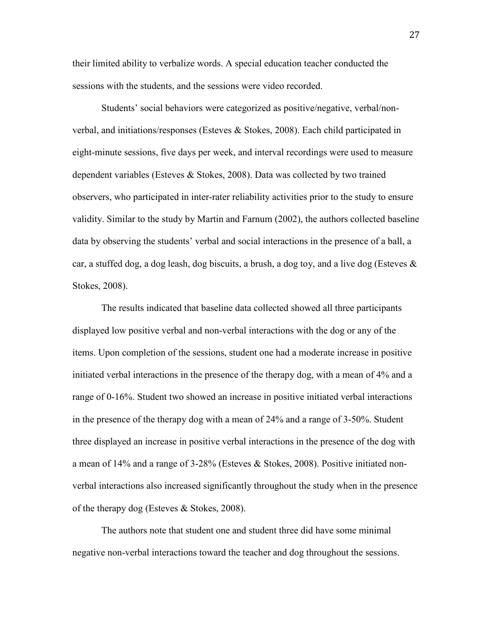their limited ability to verbalize words. A special education teacher conducted the sessions with the students, and the sessions were video recorded.

 Students' social behaviors were categorized as positive/negative, verbal/nonverbal, and initiations/responses (Esteves & Stokes, 2008). Each child participated in eight-minute sessions, five days per week, and interval recordings were used to measure dependent variables (Esteves & Stokes, 2008). Data was collected by two trained observers, who participated in inter-rater reliability activities prior to the study to ensure validity. Similar to the study by Martin and Farnum (2002), the authors collected baseline data by observing the students' verbal and social interactions in the presence of a ball, a car, a stuffed dog, a dog leash, dog biscuits, a brush, a dog toy, and a live dog (Esteves  $\&$ Stokes, 2008).

The results indicated that baseline data collected showed all three participants displayed low positive verbal and non-verbal interactions with the dog or any of the items. Upon completion of the sessions, student one had a moderate increase in positive initiated verbal interactions in the presence of the therapy dog, with a mean of 4% and a range of 0-16%. Student two showed an increase in positive initiated verbal interactions in the presence of the therapy dog with a mean of 24% and a range of 3-50%. Student three displayed an increase in positive verbal interactions in the presence of the dog with a mean of 14% and a range of 3-28% (Esteves & Stokes, 2008). Positive initiated nonverbal interactions also increased significantly throughout the study when in the presence of the therapy dog (Esteves & Stokes, 2008).

 The authors note that student one and student three did have some minimal negative non-verbal interactions toward the teacher and dog throughout the sessions.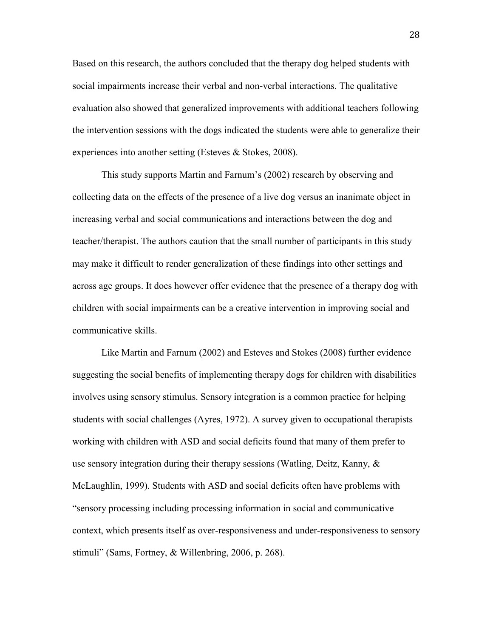Based on this research, the authors concluded that the therapy dog helped students with social impairments increase their verbal and non-verbal interactions. The qualitative evaluation also showed that generalized improvements with additional teachers following the intervention sessions with the dogs indicated the students were able to generalize their experiences into another setting (Esteves & Stokes, 2008).

This study supports Martin and Farnum's (2002) research by observing and collecting data on the effects of the presence of a live dog versus an inanimate object in increasing verbal and social communications and interactions between the dog and teacher/therapist. The authors caution that the small number of participants in this study may make it difficult to render generalization of these findings into other settings and across age groups. It does however offer evidence that the presence of a therapy dog with children with social impairments can be a creative intervention in improving social and communicative skills.

 Like Martin and Farnum (2002) and Esteves and Stokes (2008) further evidence suggesting the social benefits of implementing therapy dogs for children with disabilities involves using sensory stimulus. Sensory integration is a common practice for helping students with social challenges (Ayres, 1972). A survey given to occupational therapists working with children with ASD and social deficits found that many of them prefer to use sensory integration during their therapy sessions (Watling, Deitz, Kanny,  $\&$ McLaughlin, 1999). Students with ASD and social deficits often have problems with "sensory processing including processing information in social and communicative context, which presents itself as over-responsiveness and under-responsiveness to sensory stimuli" (Sams, Fortney, & Willenbring, 2006, p. 268).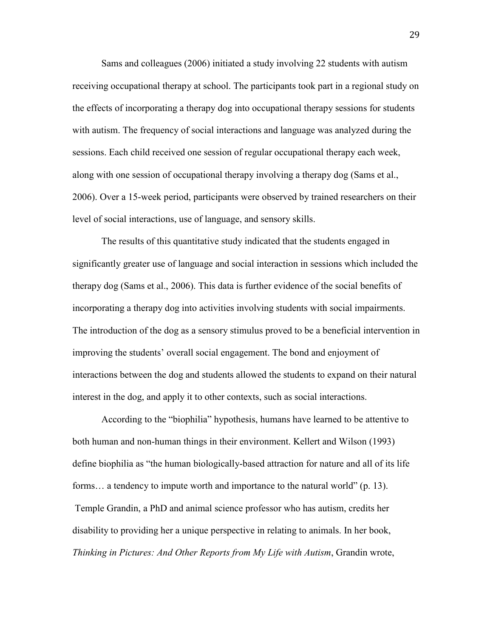Sams and colleagues (2006) initiated a study involving 22 students with autism receiving occupational therapy at school. The participants took part in a regional study on the effects of incorporating a therapy dog into occupational therapy sessions for students with autism. The frequency of social interactions and language was analyzed during the sessions. Each child received one session of regular occupational therapy each week, along with one session of occupational therapy involving a therapy dog (Sams et al., 2006). Over a 15-week period, participants were observed by trained researchers on their level of social interactions, use of language, and sensory skills.

The results of this quantitative study indicated that the students engaged in significantly greater use of language and social interaction in sessions which included the therapy dog (Sams et al., 2006). This data is further evidence of the social benefits of incorporating a therapy dog into activities involving students with social impairments. The introduction of the dog as a sensory stimulus proved to be a beneficial intervention in improving the students' overall social engagement. The bond and enjoyment of interactions between the dog and students allowed the students to expand on their natural interest in the dog, and apply it to other contexts, such as social interactions.

 According to the "biophilia" hypothesis, humans have learned to be attentive to both human and non-human things in their environment. Kellert and Wilson (1993) define biophilia as "the human biologically-based attraction for nature and all of its life forms… a tendency to impute worth and importance to the natural world" (p. 13). Temple Grandin, a PhD and animal science professor who has autism, credits her disability to providing her a unique perspective in relating to animals. In her book, *Thinking in Pictures: And Other Reports from My Life with Autism*, Grandin wrote,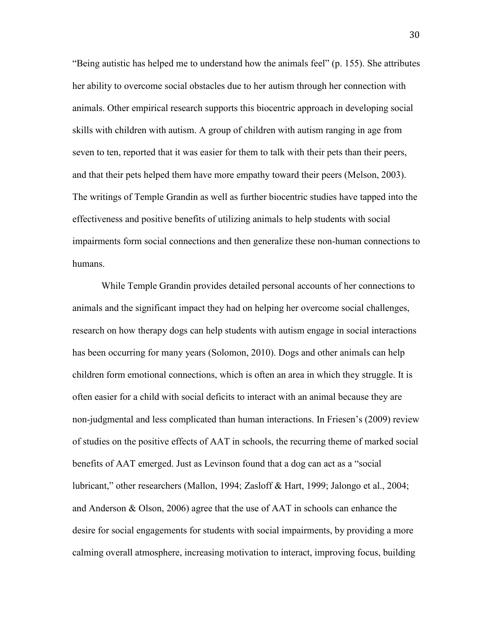"Being autistic has helped me to understand how the animals feel" (p. 155). She attributes her ability to overcome social obstacles due to her autism through her connection with animals. Other empirical research supports this biocentric approach in developing social skills with children with autism. A group of children with autism ranging in age from seven to ten, reported that it was easier for them to talk with their pets than their peers, and that their pets helped them have more empathy toward their peers (Melson, 2003). The writings of Temple Grandin as well as further biocentric studies have tapped into the effectiveness and positive benefits of utilizing animals to help students with social impairments form social connections and then generalize these non-human connections to humans.

While Temple Grandin provides detailed personal accounts of her connections to animals and the significant impact they had on helping her overcome social challenges, research on how therapy dogs can help students with autism engage in social interactions has been occurring for many years (Solomon, 2010). Dogs and other animals can help children form emotional connections, which is often an area in which they struggle. It is often easier for a child with social deficits to interact with an animal because they are non-judgmental and less complicated than human interactions. In Friesen's (2009) review of studies on the positive effects of AAT in schools, the recurring theme of marked social benefits of AAT emerged. Just as Levinson found that a dog can act as a "social lubricant," other researchers (Mallon, 1994; Zasloff & Hart, 1999; Jalongo et al., 2004; and Anderson & Olson, 2006) agree that the use of AAT in schools can enhance the desire for social engagements for students with social impairments, by providing a more calming overall atmosphere, increasing motivation to interact, improving focus, building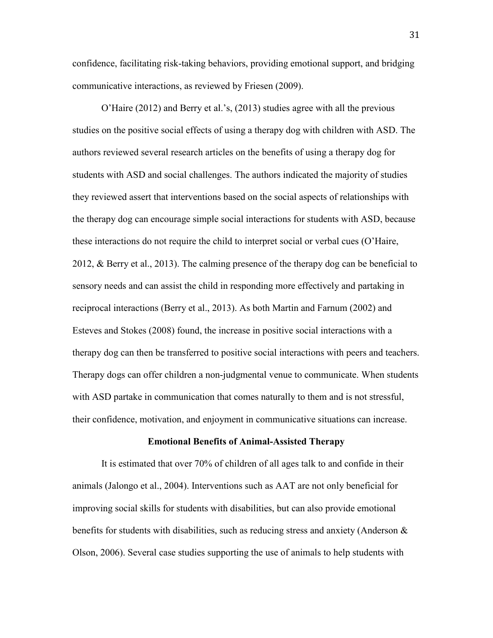confidence, facilitating risk-taking behaviors, providing emotional support, and bridging communicative interactions, as reviewed by Friesen (2009).

O'Haire (2012) and Berry et al.'s, (2013) studies agree with all the previous studies on the positive social effects of using a therapy dog with children with ASD. The authors reviewed several research articles on the benefits of using a therapy dog for students with ASD and social challenges. The authors indicated the majority of studies they reviewed assert that interventions based on the social aspects of relationships with the therapy dog can encourage simple social interactions for students with ASD, because these interactions do not require the child to interpret social or verbal cues (O'Haire, 2012, & Berry et al., 2013). The calming presence of the therapy dog can be beneficial to sensory needs and can assist the child in responding more effectively and partaking in reciprocal interactions (Berry et al., 2013). As both Martin and Farnum (2002) and Esteves and Stokes (2008) found, the increase in positive social interactions with a therapy dog can then be transferred to positive social interactions with peers and teachers. Therapy dogs can offer children a non-judgmental venue to communicate. When students with ASD partake in communication that comes naturally to them and is not stressful, their confidence, motivation, and enjoyment in communicative situations can increase.

#### **Emotional Benefits of Animal-Assisted Therapy**

It is estimated that over 70% of children of all ages talk to and confide in their animals (Jalongo et al., 2004). Interventions such as AAT are not only beneficial for improving social skills for students with disabilities, but can also provide emotional benefits for students with disabilities, such as reducing stress and anxiety (Anderson  $\&$ Olson, 2006). Several case studies supporting the use of animals to help students with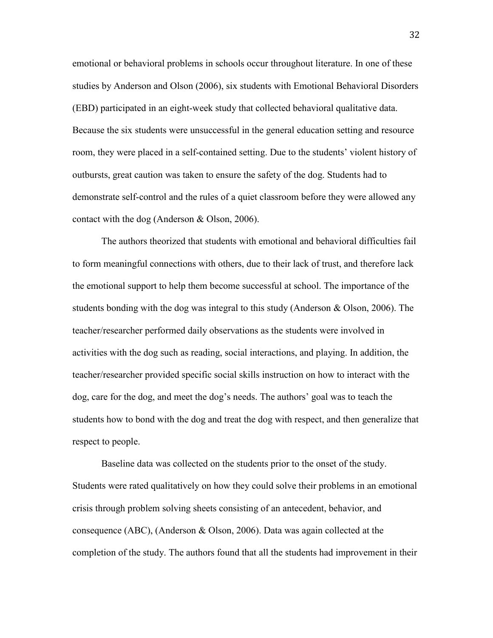emotional or behavioral problems in schools occur throughout literature. In one of these studies by Anderson and Olson (2006), six students with Emotional Behavioral Disorders (EBD) participated in an eight-week study that collected behavioral qualitative data. Because the six students were unsuccessful in the general education setting and resource room, they were placed in a self-contained setting. Due to the students' violent history of outbursts, great caution was taken to ensure the safety of the dog. Students had to demonstrate self-control and the rules of a quiet classroom before they were allowed any contact with the dog (Anderson & Olson, 2006).

 The authors theorized that students with emotional and behavioral difficulties fail to form meaningful connections with others, due to their lack of trust, and therefore lack the emotional support to help them become successful at school. The importance of the students bonding with the dog was integral to this study (Anderson  $\&$  Olson, 2006). The teacher/researcher performed daily observations as the students were involved in activities with the dog such as reading, social interactions, and playing. In addition, the teacher/researcher provided specific social skills instruction on how to interact with the dog, care for the dog, and meet the dog's needs. The authors' goal was to teach the students how to bond with the dog and treat the dog with respect, and then generalize that respect to people.

 Baseline data was collected on the students prior to the onset of the study. Students were rated qualitatively on how they could solve their problems in an emotional crisis through problem solving sheets consisting of an antecedent, behavior, and consequence (ABC), (Anderson  $\&$  Olson, 2006). Data was again collected at the completion of the study. The authors found that all the students had improvement in their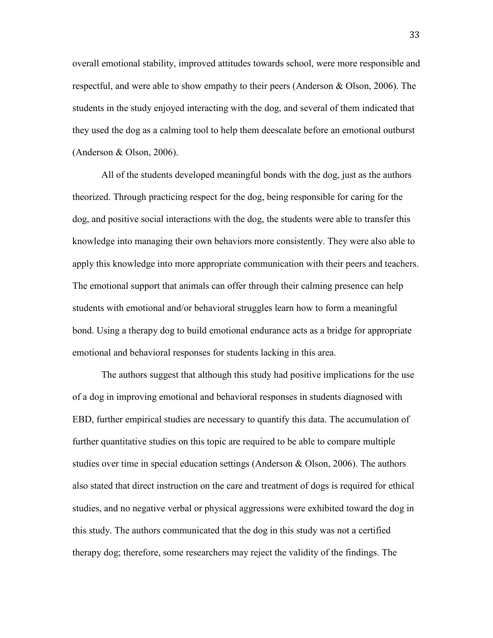overall emotional stability, improved attitudes towards school, were more responsible and respectful, and were able to show empathy to their peers (Anderson & Olson, 2006). The students in the study enjoyed interacting with the dog, and several of them indicated that they used the dog as a calming tool to help them deescalate before an emotional outburst (Anderson & Olson, 2006).

 All of the students developed meaningful bonds with the dog, just as the authors theorized. Through practicing respect for the dog, being responsible for caring for the dog, and positive social interactions with the dog, the students were able to transfer this knowledge into managing their own behaviors more consistently. They were also able to apply this knowledge into more appropriate communication with their peers and teachers. The emotional support that animals can offer through their calming presence can help students with emotional and/or behavioral struggles learn how to form a meaningful bond. Using a therapy dog to build emotional endurance acts as a bridge for appropriate emotional and behavioral responses for students lacking in this area.

 The authors suggest that although this study had positive implications for the use of a dog in improving emotional and behavioral responses in students diagnosed with EBD, further empirical studies are necessary to quantify this data. The accumulation of further quantitative studies on this topic are required to be able to compare multiple studies over time in special education settings (Anderson & Olson, 2006). The authors also stated that direct instruction on the care and treatment of dogs is required for ethical studies, and no negative verbal or physical aggressions were exhibited toward the dog in this study. The authors communicated that the dog in this study was not a certified therapy dog; therefore, some researchers may reject the validity of the findings. The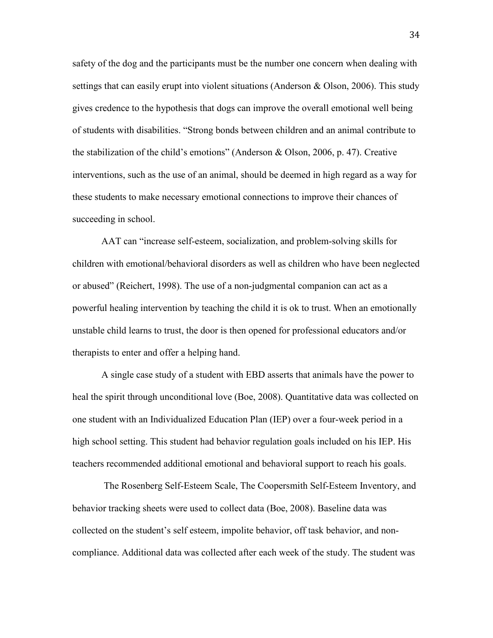safety of the dog and the participants must be the number one concern when dealing with settings that can easily erupt into violent situations (Anderson & Olson, 2006). This study gives credence to the hypothesis that dogs can improve the overall emotional well being of students with disabilities. "Strong bonds between children and an animal contribute to the stabilization of the child's emotions" (Anderson & Olson, 2006, p. 47). Creative interventions, such as the use of an animal, should be deemed in high regard as a way for these students to make necessary emotional connections to improve their chances of succeeding in school.

AAT can "increase self-esteem, socialization, and problem-solving skills for children with emotional/behavioral disorders as well as children who have been neglected or abused" (Reichert, 1998). The use of a non-judgmental companion can act as a powerful healing intervention by teaching the child it is ok to trust. When an emotionally unstable child learns to trust, the door is then opened for professional educators and/or therapists to enter and offer a helping hand.

A single case study of a student with EBD asserts that animals have the power to heal the spirit through unconditional love (Boe, 2008). Quantitative data was collected on one student with an Individualized Education Plan (IEP) over a four-week period in a high school setting. This student had behavior regulation goals included on his IEP. His teachers recommended additional emotional and behavioral support to reach his goals.

 The Rosenberg Self-Esteem Scale, The Coopersmith Self-Esteem Inventory, and behavior tracking sheets were used to collect data (Boe, 2008). Baseline data was collected on the student's self esteem, impolite behavior, off task behavior, and noncompliance. Additional data was collected after each week of the study. The student was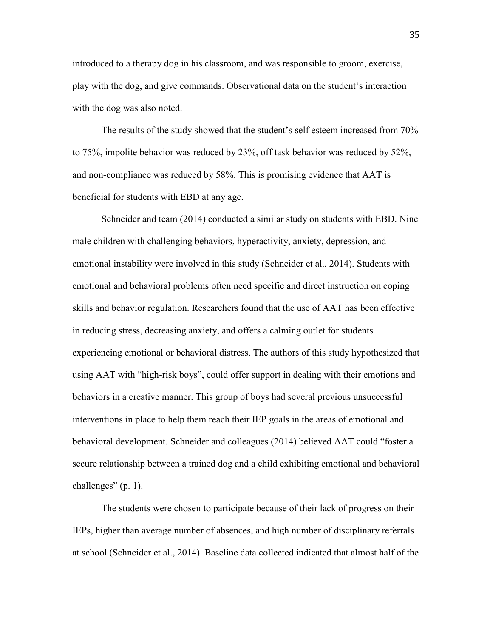introduced to a therapy dog in his classroom, and was responsible to groom, exercise, play with the dog, and give commands. Observational data on the student's interaction with the dog was also noted.

 The results of the study showed that the student's self esteem increased from 70% to 75%, impolite behavior was reduced by 23%, off task behavior was reduced by 52%, and non-compliance was reduced by 58%. This is promising evidence that AAT is beneficial for students with EBD at any age.

Schneider and team (2014) conducted a similar study on students with EBD. Nine male children with challenging behaviors, hyperactivity, anxiety, depression, and emotional instability were involved in this study (Schneider et al., 2014). Students with emotional and behavioral problems often need specific and direct instruction on coping skills and behavior regulation. Researchers found that the use of AAT has been effective in reducing stress, decreasing anxiety, and offers a calming outlet for students experiencing emotional or behavioral distress. The authors of this study hypothesized that using AAT with "high-risk boys", could offer support in dealing with their emotions and behaviors in a creative manner. This group of boys had several previous unsuccessful interventions in place to help them reach their IEP goals in the areas of emotional and behavioral development. Schneider and colleagues (2014) believed AAT could "foster a secure relationship between a trained dog and a child exhibiting emotional and behavioral challenges" (p. 1).

The students were chosen to participate because of their lack of progress on their IEPs, higher than average number of absences, and high number of disciplinary referrals at school (Schneider et al., 2014). Baseline data collected indicated that almost half of the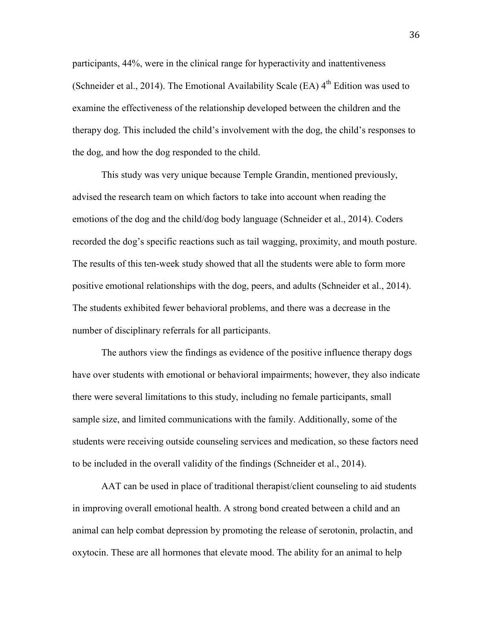participants, 44%, were in the clinical range for hyperactivity and inattentiveness (Schneider et al., 2014). The Emotional Availability Scale (EA)  $4<sup>th</sup>$  Edition was used to examine the effectiveness of the relationship developed between the children and the therapy dog. This included the child's involvement with the dog, the child's responses to the dog, and how the dog responded to the child.

 This study was very unique because Temple Grandin, mentioned previously, advised the research team on which factors to take into account when reading the emotions of the dog and the child/dog body language (Schneider et al., 2014). Coders recorded the dog's specific reactions such as tail wagging, proximity, and mouth posture. The results of this ten-week study showed that all the students were able to form more positive emotional relationships with the dog, peers, and adults (Schneider et al., 2014). The students exhibited fewer behavioral problems, and there was a decrease in the number of disciplinary referrals for all participants.

 The authors view the findings as evidence of the positive influence therapy dogs have over students with emotional or behavioral impairments; however, they also indicate there were several limitations to this study, including no female participants, small sample size, and limited communications with the family. Additionally, some of the students were receiving outside counseling services and medication, so these factors need to be included in the overall validity of the findings (Schneider et al., 2014).

 AAT can be used in place of traditional therapist/client counseling to aid students in improving overall emotional health. A strong bond created between a child and an animal can help combat depression by promoting the release of serotonin, prolactin, and oxytocin. These are all hormones that elevate mood. The ability for an animal to help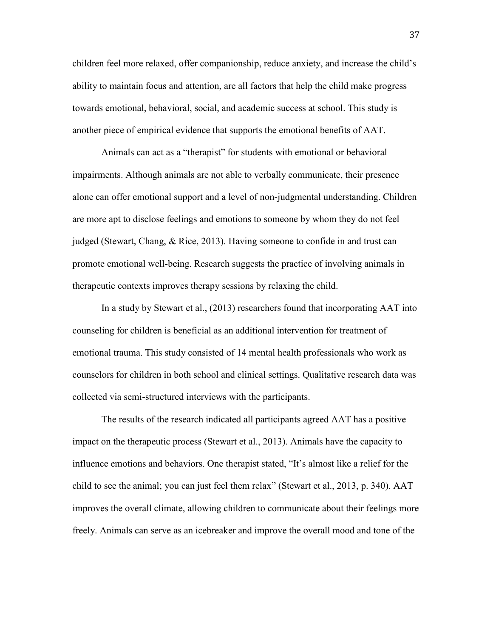children feel more relaxed, offer companionship, reduce anxiety, and increase the child's ability to maintain focus and attention, are all factors that help the child make progress towards emotional, behavioral, social, and academic success at school. This study is another piece of empirical evidence that supports the emotional benefits of AAT.

Animals can act as a "therapist" for students with emotional or behavioral impairments. Although animals are not able to verbally communicate, their presence alone can offer emotional support and a level of non-judgmental understanding. Children are more apt to disclose feelings and emotions to someone by whom they do not feel judged (Stewart, Chang, & Rice, 2013). Having someone to confide in and trust can promote emotional well-being. Research suggests the practice of involving animals in therapeutic contexts improves therapy sessions by relaxing the child.

 In a study by Stewart et al., (2013) researchers found that incorporating AAT into counseling for children is beneficial as an additional intervention for treatment of emotional trauma. This study consisted of 14 mental health professionals who work as counselors for children in both school and clinical settings. Qualitative research data was collected via semi-structured interviews with the participants.

The results of the research indicated all participants agreed AAT has a positive impact on the therapeutic process (Stewart et al., 2013). Animals have the capacity to influence emotions and behaviors. One therapist stated, "It's almost like a relief for the child to see the animal; you can just feel them relax" (Stewart et al., 2013, p. 340). AAT improves the overall climate, allowing children to communicate about their feelings more freely. Animals can serve as an icebreaker and improve the overall mood and tone of the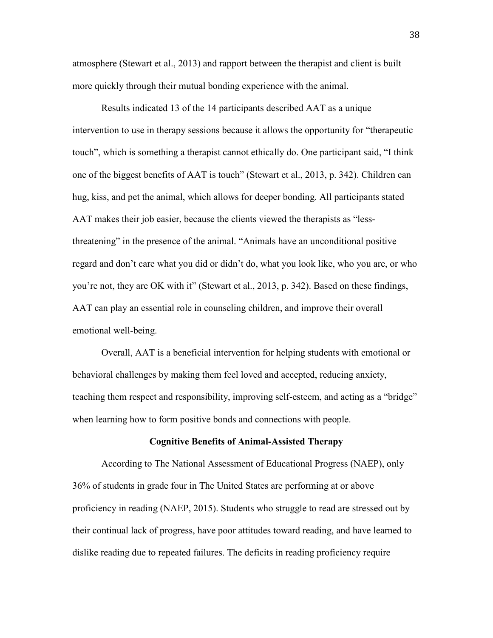atmosphere (Stewart et al., 2013) and rapport between the therapist and client is built more quickly through their mutual bonding experience with the animal.

Results indicated 13 of the 14 participants described AAT as a unique intervention to use in therapy sessions because it allows the opportunity for "therapeutic touch", which is something a therapist cannot ethically do. One participant said, "I think one of the biggest benefits of AAT is touch" (Stewart et al., 2013, p. 342). Children can hug, kiss, and pet the animal, which allows for deeper bonding. All participants stated AAT makes their job easier, because the clients viewed the therapists as "lessthreatening" in the presence of the animal. "Animals have an unconditional positive regard and don't care what you did or didn't do, what you look like, who you are, or who you're not, they are OK with it" (Stewart et al., 2013, p. 342). Based on these findings, AAT can play an essential role in counseling children, and improve their overall emotional well-being.

Overall, AAT is a beneficial intervention for helping students with emotional or behavioral challenges by making them feel loved and accepted, reducing anxiety, teaching them respect and responsibility, improving self-esteem, and acting as a "bridge" when learning how to form positive bonds and connections with people.

# **Cognitive Benefits of Animal-Assisted Therapy**

 According to The National Assessment of Educational Progress (NAEP), only 36% of students in grade four in The United States are performing at or above proficiency in reading (NAEP, 2015). Students who struggle to read are stressed out by their continual lack of progress, have poor attitudes toward reading, and have learned to dislike reading due to repeated failures. The deficits in reading proficiency require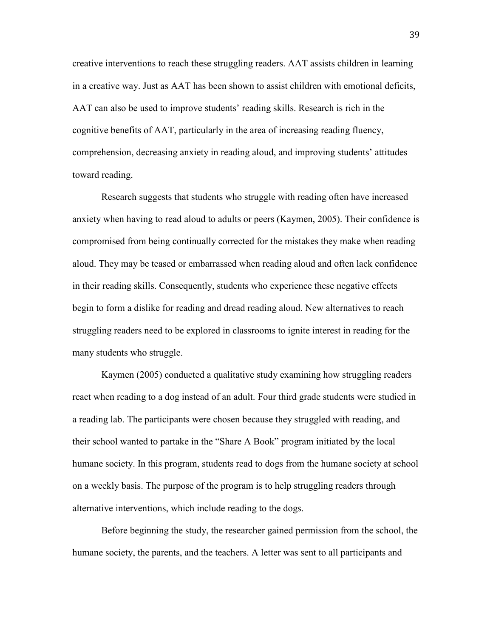creative interventions to reach these struggling readers. AAT assists children in learning in a creative way. Just as AAT has been shown to assist children with emotional deficits, AAT can also be used to improve students' reading skills. Research is rich in the cognitive benefits of AAT, particularly in the area of increasing reading fluency, comprehension, decreasing anxiety in reading aloud, and improving students' attitudes toward reading.

 Research suggests that students who struggle with reading often have increased anxiety when having to read aloud to adults or peers (Kaymen, 2005). Their confidence is compromised from being continually corrected for the mistakes they make when reading aloud. They may be teased or embarrassed when reading aloud and often lack confidence in their reading skills. Consequently, students who experience these negative effects begin to form a dislike for reading and dread reading aloud. New alternatives to reach struggling readers need to be explored in classrooms to ignite interest in reading for the many students who struggle.

 Kaymen (2005) conducted a qualitative study examining how struggling readers react when reading to a dog instead of an adult. Four third grade students were studied in a reading lab. The participants were chosen because they struggled with reading, and their school wanted to partake in the "Share A Book" program initiated by the local humane society. In this program, students read to dogs from the humane society at school on a weekly basis. The purpose of the program is to help struggling readers through alternative interventions, which include reading to the dogs.

Before beginning the study, the researcher gained permission from the school, the humane society, the parents, and the teachers. A letter was sent to all participants and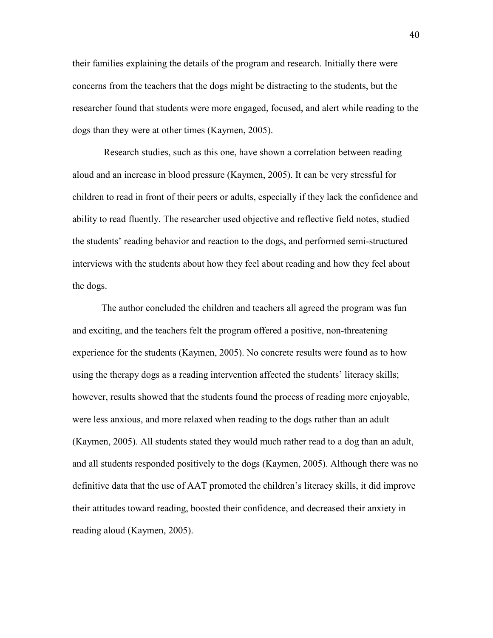their families explaining the details of the program and research. Initially there were concerns from the teachers that the dogs might be distracting to the students, but the researcher found that students were more engaged, focused, and alert while reading to the dogs than they were at other times (Kaymen, 2005).

 Research studies, such as this one, have shown a correlation between reading aloud and an increase in blood pressure (Kaymen, 2005). It can be very stressful for children to read in front of their peers or adults, especially if they lack the confidence and ability to read fluently. The researcher used objective and reflective field notes, studied the students' reading behavior and reaction to the dogs, and performed semi-structured interviews with the students about how they feel about reading and how they feel about the dogs.

 The author concluded the children and teachers all agreed the program was fun and exciting, and the teachers felt the program offered a positive, non-threatening experience for the students (Kaymen, 2005). No concrete results were found as to how using the therapy dogs as a reading intervention affected the students' literacy skills; however, results showed that the students found the process of reading more enjoyable, were less anxious, and more relaxed when reading to the dogs rather than an adult (Kaymen, 2005). All students stated they would much rather read to a dog than an adult, and all students responded positively to the dogs (Kaymen, 2005). Although there was no definitive data that the use of AAT promoted the children's literacy skills, it did improve their attitudes toward reading, boosted their confidence, and decreased their anxiety in reading aloud (Kaymen, 2005).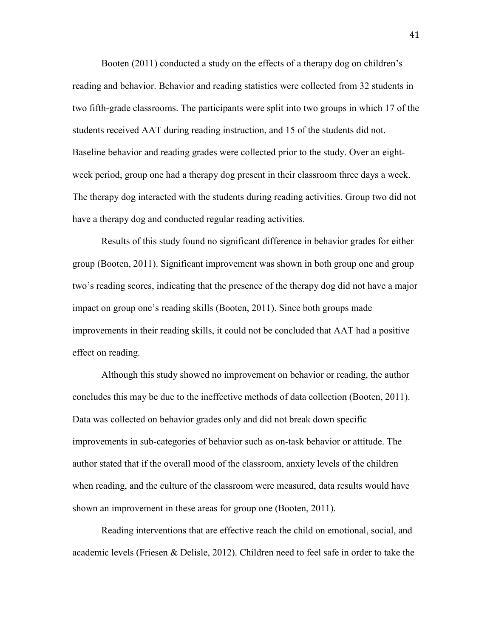Booten (2011) conducted a study on the effects of a therapy dog on children's reading and behavior. Behavior and reading statistics were collected from 32 students in two fifth-grade classrooms. The participants were split into two groups in which 17 of the students received AAT during reading instruction, and 15 of the students did not. Baseline behavior and reading grades were collected prior to the study. Over an eightweek period, group one had a therapy dog present in their classroom three days a week. The therapy dog interacted with the students during reading activities. Group two did not have a therapy dog and conducted regular reading activities.

 Results of this study found no significant difference in behavior grades for either group (Booten, 2011). Significant improvement was shown in both group one and group two's reading scores, indicating that the presence of the therapy dog did not have a major impact on group one's reading skills (Booten, 2011). Since both groups made improvements in their reading skills, it could not be concluded that AAT had a positive effect on reading.

 Although this study showed no improvement on behavior or reading, the author concludes this may be due to the ineffective methods of data collection (Booten, 2011). Data was collected on behavior grades only and did not break down specific improvements in sub-categories of behavior such as on-task behavior or attitude. The author stated that if the overall mood of the classroom, anxiety levels of the children when reading, and the culture of the classroom were measured, data results would have shown an improvement in these areas for group one (Booten, 2011).

Reading interventions that are effective reach the child on emotional, social, and academic levels (Friesen & Delisle, 2012). Children need to feel safe in order to take the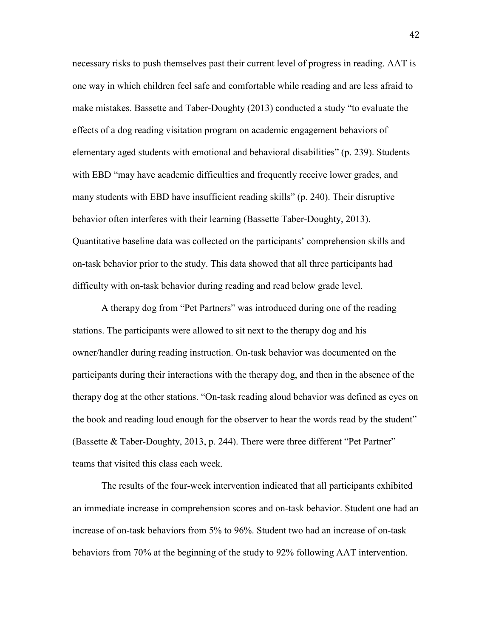necessary risks to push themselves past their current level of progress in reading. AAT is one way in which children feel safe and comfortable while reading and are less afraid to make mistakes. Bassette and Taber-Doughty (2013) conducted a study "to evaluate the effects of a dog reading visitation program on academic engagement behaviors of elementary aged students with emotional and behavioral disabilities" (p. 239). Students with EBD "may have academic difficulties and frequently receive lower grades, and many students with EBD have insufficient reading skills" (p. 240). Their disruptive behavior often interferes with their learning (Bassette Taber-Doughty, 2013). Quantitative baseline data was collected on the participants' comprehension skills and on-task behavior prior to the study. This data showed that all three participants had difficulty with on-task behavior during reading and read below grade level.

 A therapy dog from "Pet Partners" was introduced during one of the reading stations. The participants were allowed to sit next to the therapy dog and his owner/handler during reading instruction. On-task behavior was documented on the participants during their interactions with the therapy dog, and then in the absence of the therapy dog at the other stations. "On-task reading aloud behavior was defined as eyes on the book and reading loud enough for the observer to hear the words read by the student" (Bassette & Taber-Doughty, 2013, p. 244). There were three different "Pet Partner" teams that visited this class each week.

 The results of the four-week intervention indicated that all participants exhibited an immediate increase in comprehension scores and on-task behavior. Student one had an increase of on-task behaviors from 5% to 96%. Student two had an increase of on-task behaviors from 70% at the beginning of the study to 92% following AAT intervention.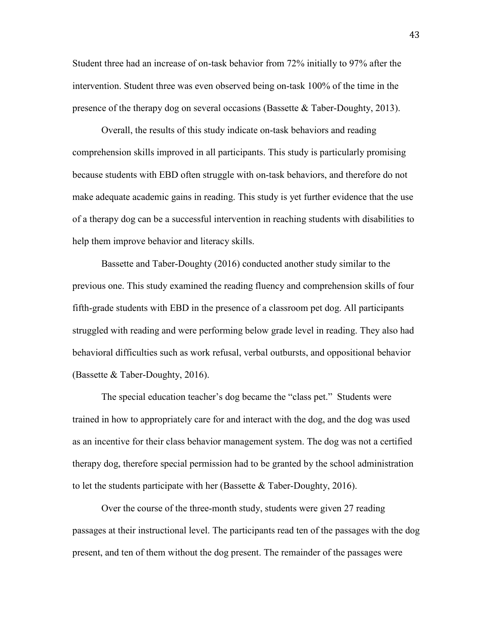Student three had an increase of on-task behavior from 72% initially to 97% after the intervention. Student three was even observed being on-task 100% of the time in the presence of the therapy dog on several occasions (Bassette & Taber-Doughty, 2013).

Overall, the results of this study indicate on-task behaviors and reading comprehension skills improved in all participants. This study is particularly promising because students with EBD often struggle with on-task behaviors, and therefore do not make adequate academic gains in reading. This study is yet further evidence that the use of a therapy dog can be a successful intervention in reaching students with disabilities to help them improve behavior and literacy skills.

Bassette and Taber-Doughty (2016) conducted another study similar to the previous one. This study examined the reading fluency and comprehension skills of four fifth-grade students with EBD in the presence of a classroom pet dog. All participants struggled with reading and were performing below grade level in reading. They also had behavioral difficulties such as work refusal, verbal outbursts, and oppositional behavior (Bassette & Taber-Doughty, 2016).

The special education teacher's dog became the "class pet." Students were trained in how to appropriately care for and interact with the dog, and the dog was used as an incentive for their class behavior management system. The dog was not a certified therapy dog, therefore special permission had to be granted by the school administration to let the students participate with her (Bassette  $\&$  Taber-Doughty, 2016).

Over the course of the three-month study, students were given 27 reading passages at their instructional level. The participants read ten of the passages with the dog present, and ten of them without the dog present. The remainder of the passages were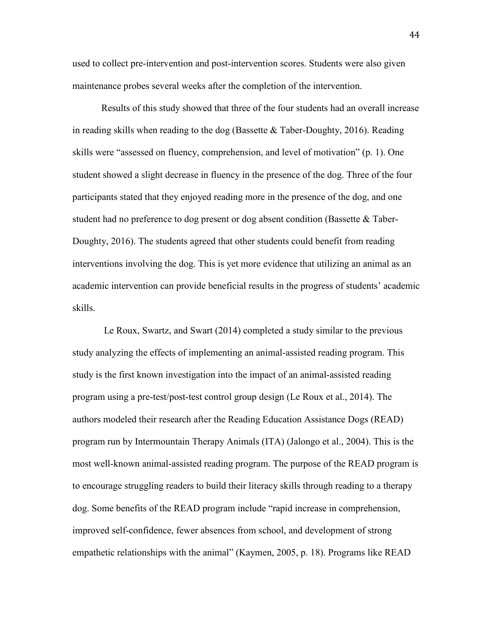used to collect pre-intervention and post-intervention scores. Students were also given maintenance probes several weeks after the completion of the intervention.

 Results of this study showed that three of the four students had an overall increase in reading skills when reading to the dog (Bassette  $&$  Taber-Doughty, 2016). Reading skills were "assessed on fluency, comprehension, and level of motivation" (p. 1). One student showed a slight decrease in fluency in the presence of the dog. Three of the four participants stated that they enjoyed reading more in the presence of the dog, and one student had no preference to dog present or dog absent condition (Bassette & Taber-Doughty, 2016). The students agreed that other students could benefit from reading interventions involving the dog. This is yet more evidence that utilizing an animal as an academic intervention can provide beneficial results in the progress of students' academic skills.

 Le Roux, Swartz, and Swart (2014) completed a study similar to the previous study analyzing the effects of implementing an animal-assisted reading program. This study is the first known investigation into the impact of an animal-assisted reading program using a pre-test/post-test control group design (Le Roux et al., 2014). The authors modeled their research after the Reading Education Assistance Dogs (READ) program run by Intermountain Therapy Animals (ITA) (Jalongo et al., 2004). This is the most well-known animal-assisted reading program. The purpose of the READ program is to encourage struggling readers to build their literacy skills through reading to a therapy dog. Some benefits of the READ program include "rapid increase in comprehension, improved self-confidence, fewer absences from school, and development of strong empathetic relationships with the animal" (Kaymen, 2005, p. 18). Programs like READ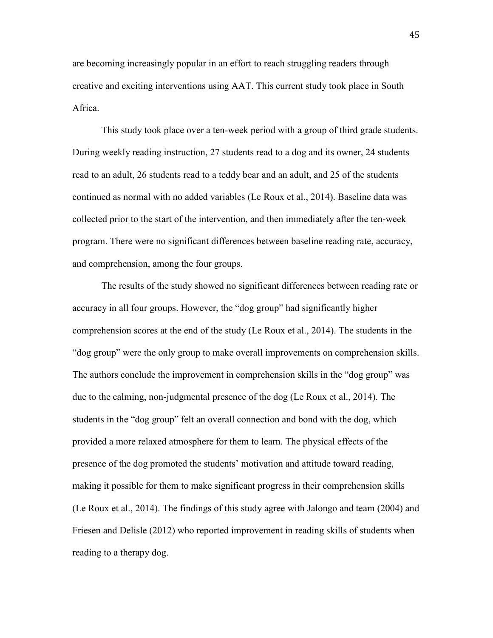are becoming increasingly popular in an effort to reach struggling readers through creative and exciting interventions using AAT. This current study took place in South Africa.

 This study took place over a ten-week period with a group of third grade students. During weekly reading instruction, 27 students read to a dog and its owner, 24 students read to an adult, 26 students read to a teddy bear and an adult, and 25 of the students continued as normal with no added variables (Le Roux et al., 2014). Baseline data was collected prior to the start of the intervention, and then immediately after the ten-week program. There were no significant differences between baseline reading rate, accuracy, and comprehension, among the four groups.

 The results of the study showed no significant differences between reading rate or accuracy in all four groups. However, the "dog group" had significantly higher comprehension scores at the end of the study (Le Roux et al., 2014). The students in the "dog group" were the only group to make overall improvements on comprehension skills. The authors conclude the improvement in comprehension skills in the "dog group" was due to the calming, non-judgmental presence of the dog (Le Roux et al., 2014). The students in the "dog group" felt an overall connection and bond with the dog, which provided a more relaxed atmosphere for them to learn. The physical effects of the presence of the dog promoted the students' motivation and attitude toward reading, making it possible for them to make significant progress in their comprehension skills (Le Roux et al., 2014). The findings of this study agree with Jalongo and team (2004) and Friesen and Delisle (2012) who reported improvement in reading skills of students when reading to a therapy dog.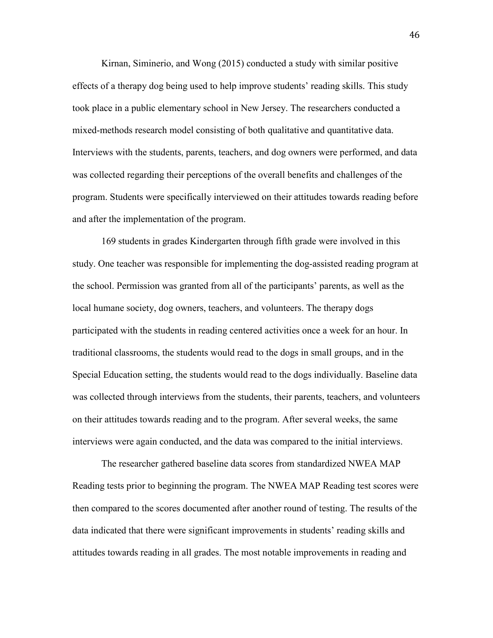Kirnan, Siminerio, and Wong (2015) conducted a study with similar positive effects of a therapy dog being used to help improve students' reading skills. This study took place in a public elementary school in New Jersey. The researchers conducted a mixed-methods research model consisting of both qualitative and quantitative data. Interviews with the students, parents, teachers, and dog owners were performed, and data was collected regarding their perceptions of the overall benefits and challenges of the program. Students were specifically interviewed on their attitudes towards reading before and after the implementation of the program.

 169 students in grades Kindergarten through fifth grade were involved in this study. One teacher was responsible for implementing the dog-assisted reading program at the school. Permission was granted from all of the participants' parents, as well as the local humane society, dog owners, teachers, and volunteers. The therapy dogs participated with the students in reading centered activities once a week for an hour. In traditional classrooms, the students would read to the dogs in small groups, and in the Special Education setting, the students would read to the dogs individually. Baseline data was collected through interviews from the students, their parents, teachers, and volunteers on their attitudes towards reading and to the program. After several weeks, the same interviews were again conducted, and the data was compared to the initial interviews.

The researcher gathered baseline data scores from standardized NWEA MAP Reading tests prior to beginning the program. The NWEA MAP Reading test scores were then compared to the scores documented after another round of testing. The results of the data indicated that there were significant improvements in students' reading skills and attitudes towards reading in all grades. The most notable improvements in reading and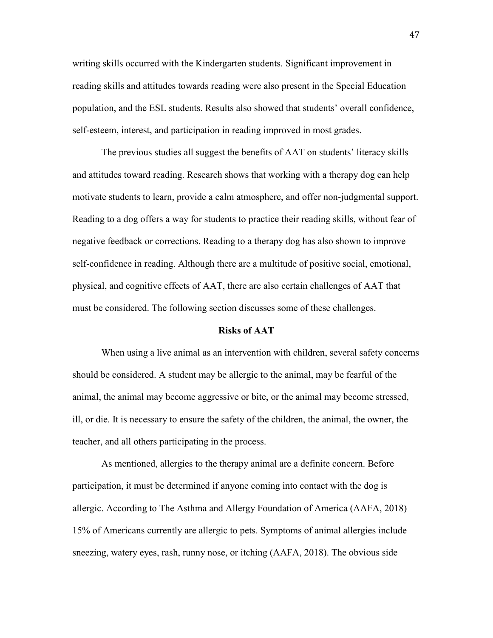writing skills occurred with the Kindergarten students. Significant improvement in reading skills and attitudes towards reading were also present in the Special Education population, and the ESL students. Results also showed that students' overall confidence, self-esteem, interest, and participation in reading improved in most grades.

 The previous studies all suggest the benefits of AAT on students' literacy skills and attitudes toward reading. Research shows that working with a therapy dog can help motivate students to learn, provide a calm atmosphere, and offer non-judgmental support. Reading to a dog offers a way for students to practice their reading skills, without fear of negative feedback or corrections. Reading to a therapy dog has also shown to improve self-confidence in reading. Although there are a multitude of positive social, emotional, physical, and cognitive effects of AAT, there are also certain challenges of AAT that must be considered. The following section discusses some of these challenges.

### **Risks of AAT**

 When using a live animal as an intervention with children, several safety concerns should be considered. A student may be allergic to the animal, may be fearful of the animal, the animal may become aggressive or bite, or the animal may become stressed, ill, or die. It is necessary to ensure the safety of the children, the animal, the owner, the teacher, and all others participating in the process.

 As mentioned, allergies to the therapy animal are a definite concern. Before participation, it must be determined if anyone coming into contact with the dog is allergic. According to The Asthma and Allergy Foundation of America (AAFA, 2018) 15% of Americans currently are allergic to pets. Symptoms of animal allergies include sneezing, watery eyes, rash, runny nose, or itching (AAFA, 2018). The obvious side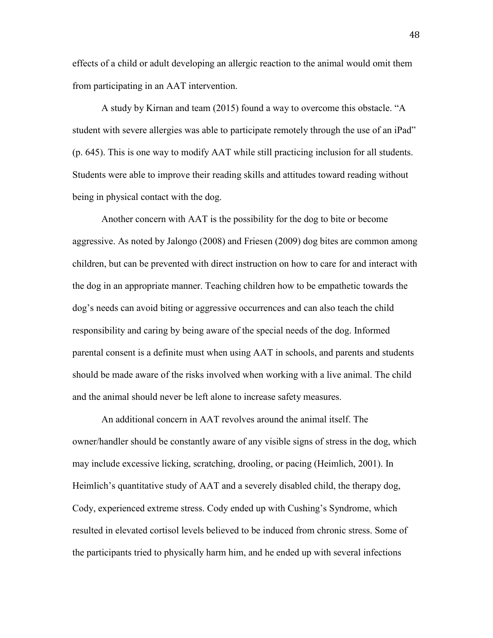effects of a child or adult developing an allergic reaction to the animal would omit them from participating in an AAT intervention.

A study by Kirnan and team (2015) found a way to overcome this obstacle. "A student with severe allergies was able to participate remotely through the use of an iPad" (p. 645). This is one way to modify AAT while still practicing inclusion for all students. Students were able to improve their reading skills and attitudes toward reading without being in physical contact with the dog.

 Another concern with AAT is the possibility for the dog to bite or become aggressive. As noted by Jalongo (2008) and Friesen (2009) dog bites are common among children, but can be prevented with direct instruction on how to care for and interact with the dog in an appropriate manner. Teaching children how to be empathetic towards the dog's needs can avoid biting or aggressive occurrences and can also teach the child responsibility and caring by being aware of the special needs of the dog. Informed parental consent is a definite must when using AAT in schools, and parents and students should be made aware of the risks involved when working with a live animal. The child and the animal should never be left alone to increase safety measures.

 An additional concern in AAT revolves around the animal itself. The owner/handler should be constantly aware of any visible signs of stress in the dog, which may include excessive licking, scratching, drooling, or pacing (Heimlich, 2001). In Heimlich's quantitative study of AAT and a severely disabled child, the therapy dog, Cody, experienced extreme stress. Cody ended up with Cushing's Syndrome, which resulted in elevated cortisol levels believed to be induced from chronic stress. Some of the participants tried to physically harm him, and he ended up with several infections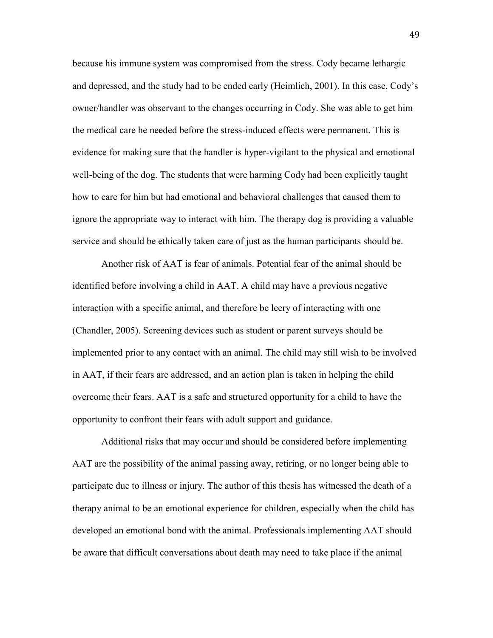because his immune system was compromised from the stress. Cody became lethargic and depressed, and the study had to be ended early (Heimlich, 2001). In this case, Cody's owner/handler was observant to the changes occurring in Cody. She was able to get him the medical care he needed before the stress-induced effects were permanent. This is evidence for making sure that the handler is hyper-vigilant to the physical and emotional well-being of the dog. The students that were harming Cody had been explicitly taught how to care for him but had emotional and behavioral challenges that caused them to ignore the appropriate way to interact with him. The therapy dog is providing a valuable service and should be ethically taken care of just as the human participants should be.

 Another risk of AAT is fear of animals. Potential fear of the animal should be identified before involving a child in AAT. A child may have a previous negative interaction with a specific animal, and therefore be leery of interacting with one (Chandler, 2005). Screening devices such as student or parent surveys should be implemented prior to any contact with an animal. The child may still wish to be involved in AAT, if their fears are addressed, and an action plan is taken in helping the child overcome their fears. AAT is a safe and structured opportunity for a child to have the opportunity to confront their fears with adult support and guidance.

 Additional risks that may occur and should be considered before implementing AAT are the possibility of the animal passing away, retiring, or no longer being able to participate due to illness or injury. The author of this thesis has witnessed the death of a therapy animal to be an emotional experience for children, especially when the child has developed an emotional bond with the animal. Professionals implementing AAT should be aware that difficult conversations about death may need to take place if the animal

49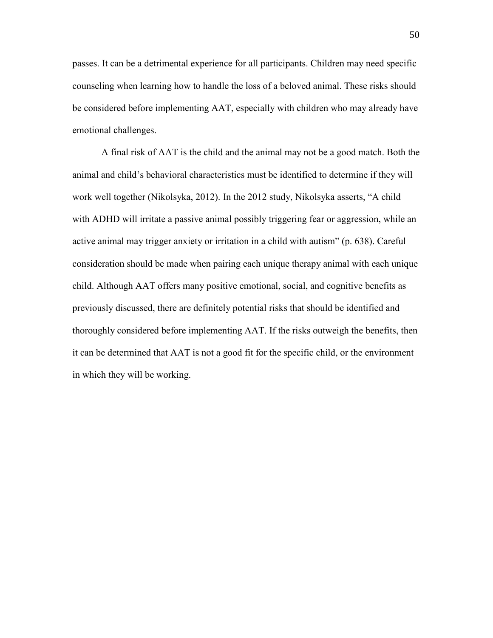passes. It can be a detrimental experience for all participants. Children may need specific counseling when learning how to handle the loss of a beloved animal. These risks should be considered before implementing AAT, especially with children who may already have emotional challenges.

 A final risk of AAT is the child and the animal may not be a good match. Both the animal and child's behavioral characteristics must be identified to determine if they will work well together (Nikolsyka, 2012). In the 2012 study, Nikolsyka asserts, "A child with ADHD will irritate a passive animal possibly triggering fear or aggression, while an active animal may trigger anxiety or irritation in a child with autism" (p. 638). Careful consideration should be made when pairing each unique therapy animal with each unique child. Although AAT offers many positive emotional, social, and cognitive benefits as previously discussed, there are definitely potential risks that should be identified and thoroughly considered before implementing AAT. If the risks outweigh the benefits, then it can be determined that AAT is not a good fit for the specific child, or the environment in which they will be working.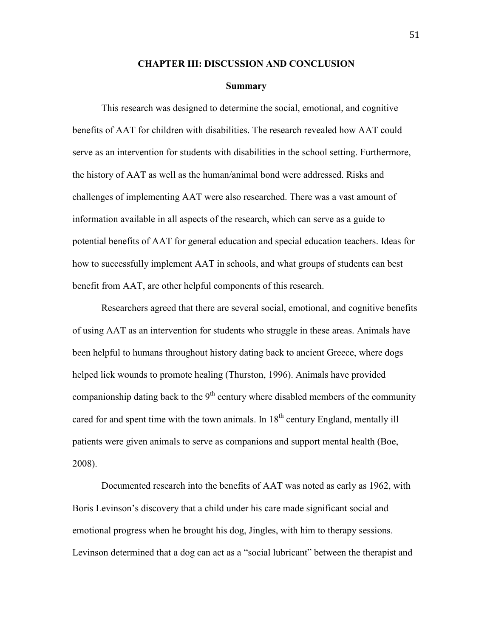### **CHAPTER III: DISCUSSION AND CONCLUSION**

#### **Summary**

This research was designed to determine the social, emotional, and cognitive benefits of AAT for children with disabilities. The research revealed how AAT could serve as an intervention for students with disabilities in the school setting. Furthermore, the history of AAT as well as the human/animal bond were addressed. Risks and challenges of implementing AAT were also researched. There was a vast amount of information available in all aspects of the research, which can serve as a guide to potential benefits of AAT for general education and special education teachers. Ideas for how to successfully implement AAT in schools, and what groups of students can best benefit from AAT, are other helpful components of this research.

Researchers agreed that there are several social, emotional, and cognitive benefits of using AAT as an intervention for students who struggle in these areas. Animals have been helpful to humans throughout history dating back to ancient Greece, where dogs helped lick wounds to promote healing (Thurston, 1996). Animals have provided companionship dating back to the  $9<sup>th</sup>$  century where disabled members of the community cared for and spent time with the town animals. In  $18<sup>th</sup>$  century England, mentally ill patients were given animals to serve as companions and support mental health (Boe, 2008).

 Documented research into the benefits of AAT was noted as early as 1962, with Boris Levinson's discovery that a child under his care made significant social and emotional progress when he brought his dog, Jingles, with him to therapy sessions. Levinson determined that a dog can act as a "social lubricant" between the therapist and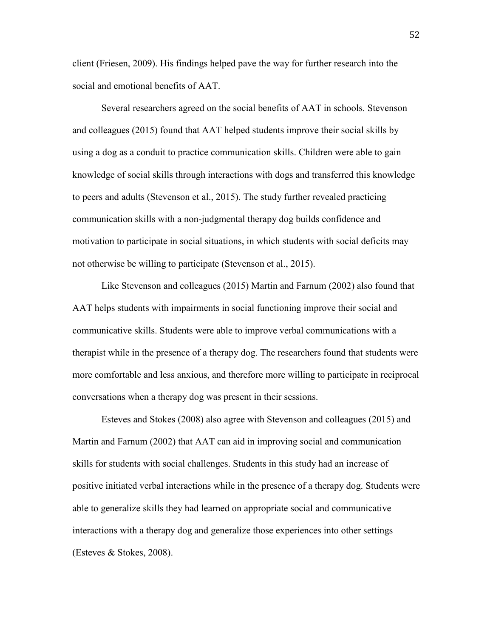client (Friesen, 2009). His findings helped pave the way for further research into the social and emotional benefits of AAT.

Several researchers agreed on the social benefits of AAT in schools. Stevenson and colleagues (2015) found that AAT helped students improve their social skills by using a dog as a conduit to practice communication skills. Children were able to gain knowledge of social skills through interactions with dogs and transferred this knowledge to peers and adults (Stevenson et al., 2015). The study further revealed practicing communication skills with a non-judgmental therapy dog builds confidence and motivation to participate in social situations, in which students with social deficits may not otherwise be willing to participate (Stevenson et al., 2015).

 Like Stevenson and colleagues (2015) Martin and Farnum (2002) also found that AAT helps students with impairments in social functioning improve their social and communicative skills. Students were able to improve verbal communications with a therapist while in the presence of a therapy dog. The researchers found that students were more comfortable and less anxious, and therefore more willing to participate in reciprocal conversations when a therapy dog was present in their sessions.

 Esteves and Stokes (2008) also agree with Stevenson and colleagues (2015) and Martin and Farnum (2002) that AAT can aid in improving social and communication skills for students with social challenges. Students in this study had an increase of positive initiated verbal interactions while in the presence of a therapy dog. Students were able to generalize skills they had learned on appropriate social and communicative interactions with a therapy dog and generalize those experiences into other settings (Esteves & Stokes, 2008).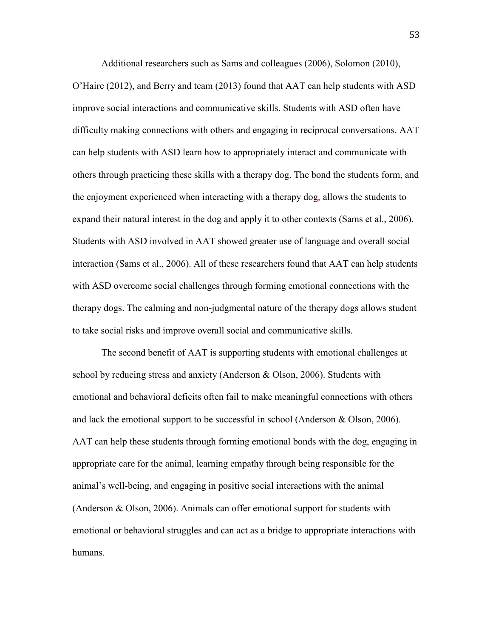Additional researchers such as Sams and colleagues (2006), Solomon (2010), O'Haire (2012), and Berry and team (2013) found that AAT can help students with ASD improve social interactions and communicative skills. Students with ASD often have difficulty making connections with others and engaging in reciprocal conversations. AAT can help students with ASD learn how to appropriately interact and communicate with others through practicing these skills with a therapy dog. The bond the students form, and the enjoyment experienced when interacting with a therapy dog, allows the students to expand their natural interest in the dog and apply it to other contexts (Sams et al., 2006). Students with ASD involved in AAT showed greater use of language and overall social interaction (Sams et al., 2006). All of these researchers found that AAT can help students with ASD overcome social challenges through forming emotional connections with the therapy dogs. The calming and non-judgmental nature of the therapy dogs allows student to take social risks and improve overall social and communicative skills.

 The second benefit of AAT is supporting students with emotional challenges at school by reducing stress and anxiety (Anderson & Olson, 2006). Students with emotional and behavioral deficits often fail to make meaningful connections with others and lack the emotional support to be successful in school (Anderson & Olson, 2006). AAT can help these students through forming emotional bonds with the dog, engaging in appropriate care for the animal, learning empathy through being responsible for the animal's well-being, and engaging in positive social interactions with the animal (Anderson & Olson, 2006). Animals can offer emotional support for students with emotional or behavioral struggles and can act as a bridge to appropriate interactions with humans.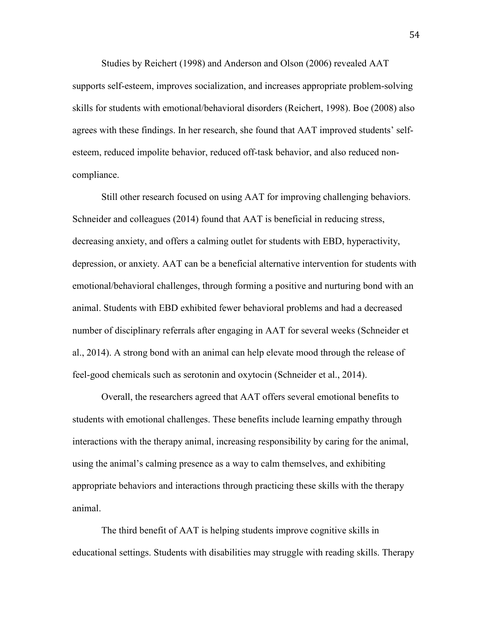Studies by Reichert (1998) and Anderson and Olson (2006) revealed AAT supports self-esteem, improves socialization, and increases appropriate problem-solving skills for students with emotional/behavioral disorders (Reichert, 1998). Boe (2008) also agrees with these findings. In her research, she found that AAT improved students' selfesteem, reduced impolite behavior, reduced off-task behavior, and also reduced noncompliance.

 Still other research focused on using AAT for improving challenging behaviors. Schneider and colleagues (2014) found that AAT is beneficial in reducing stress, decreasing anxiety, and offers a calming outlet for students with EBD, hyperactivity, depression, or anxiety. AAT can be a beneficial alternative intervention for students with emotional/behavioral challenges, through forming a positive and nurturing bond with an animal. Students with EBD exhibited fewer behavioral problems and had a decreased number of disciplinary referrals after engaging in AAT for several weeks (Schneider et al., 2014). A strong bond with an animal can help elevate mood through the release of feel-good chemicals such as serotonin and oxytocin (Schneider et al., 2014).

Overall, the researchers agreed that AAT offers several emotional benefits to students with emotional challenges. These benefits include learning empathy through interactions with the therapy animal, increasing responsibility by caring for the animal, using the animal's calming presence as a way to calm themselves, and exhibiting appropriate behaviors and interactions through practicing these skills with the therapy animal.

 The third benefit of AAT is helping students improve cognitive skills in educational settings. Students with disabilities may struggle with reading skills. Therapy

54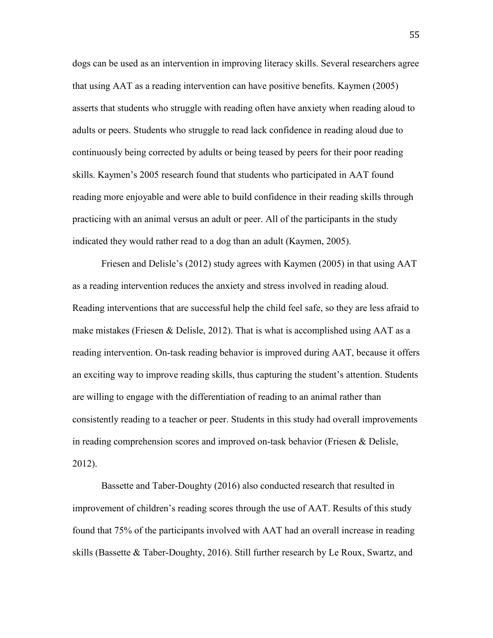dogs can be used as an intervention in improving literacy skills. Several researchers agree that using AAT as a reading intervention can have positive benefits. Kaymen (2005) asserts that students who struggle with reading often have anxiety when reading aloud to adults or peers. Students who struggle to read lack confidence in reading aloud due to continuously being corrected by adults or being teased by peers for their poor reading skills. Kaymen's 2005 research found that students who participated in AAT found reading more enjoyable and were able to build confidence in their reading skills through practicing with an animal versus an adult or peer. All of the participants in the study indicated they would rather read to a dog than an adult (Kaymen, 2005).

Friesen and Delisle's (2012) study agrees with Kaymen (2005) in that using AAT as a reading intervention reduces the anxiety and stress involved in reading aloud. Reading interventions that are successful help the child feel safe, so they are less afraid to make mistakes (Friesen & Delisle, 2012). That is what is accomplished using AAT as a reading intervention. On-task reading behavior is improved during AAT, because it offers an exciting way to improve reading skills, thus capturing the student's attention. Students are willing to engage with the differentiation of reading to an animal rather than consistently reading to a teacher or peer. Students in this study had overall improvements in reading comprehension scores and improved on-task behavior (Friesen & Delisle, 2012).

Bassette and Taber-Doughty (2016) also conducted research that resulted in improvement of children's reading scores through the use of AAT. Results of this study found that 75% of the participants involved with AAT had an overall increase in reading skills (Bassette & Taber-Doughty, 2016). Still further research by Le Roux, Swartz, and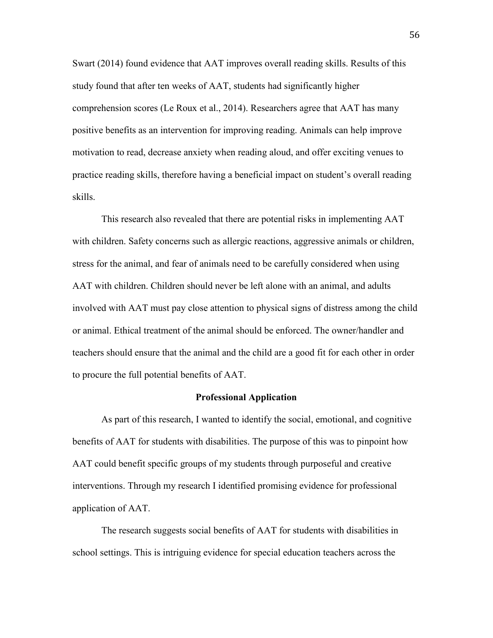Swart (2014) found evidence that AAT improves overall reading skills. Results of this study found that after ten weeks of AAT, students had significantly higher comprehension scores (Le Roux et al., 2014). Researchers agree that AAT has many positive benefits as an intervention for improving reading. Animals can help improve motivation to read, decrease anxiety when reading aloud, and offer exciting venues to practice reading skills, therefore having a beneficial impact on student's overall reading skills.

This research also revealed that there are potential risks in implementing AAT with children. Safety concerns such as allergic reactions, aggressive animals or children, stress for the animal, and fear of animals need to be carefully considered when using AAT with children. Children should never be left alone with an animal, and adults involved with AAT must pay close attention to physical signs of distress among the child or animal. Ethical treatment of the animal should be enforced. The owner/handler and teachers should ensure that the animal and the child are a good fit for each other in order to procure the full potential benefits of AAT.

# **Professional Application**

 As part of this research, I wanted to identify the social, emotional, and cognitive benefits of AAT for students with disabilities. The purpose of this was to pinpoint how AAT could benefit specific groups of my students through purposeful and creative interventions. Through my research I identified promising evidence for professional application of AAT.

The research suggests social benefits of AAT for students with disabilities in school settings. This is intriguing evidence for special education teachers across the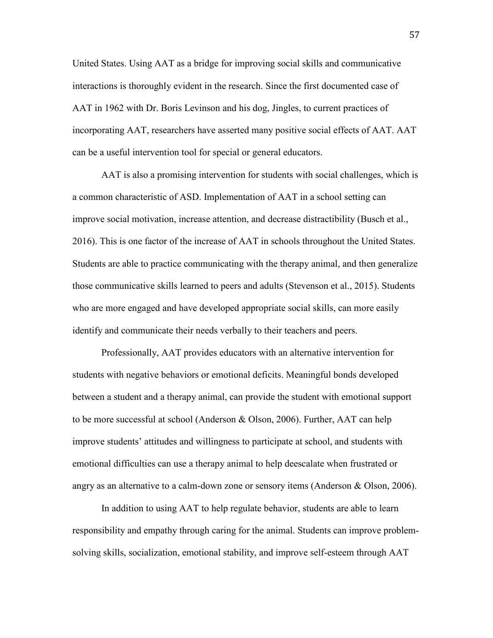United States. Using AAT as a bridge for improving social skills and communicative interactions is thoroughly evident in the research. Since the first documented case of AAT in 1962 with Dr. Boris Levinson and his dog, Jingles, to current practices of incorporating AAT, researchers have asserted many positive social effects of AAT. AAT can be a useful intervention tool for special or general educators.

AAT is also a promising intervention for students with social challenges, which is a common characteristic of ASD. Implementation of AAT in a school setting can improve social motivation, increase attention, and decrease distractibility (Busch et al., 2016). This is one factor of the increase of AAT in schools throughout the United States. Students are able to practice communicating with the therapy animal, and then generalize those communicative skills learned to peers and adults (Stevenson et al., 2015). Students who are more engaged and have developed appropriate social skills, can more easily identify and communicate their needs verbally to their teachers and peers.

 Professionally, AAT provides educators with an alternative intervention for students with negative behaviors or emotional deficits. Meaningful bonds developed between a student and a therapy animal, can provide the student with emotional support to be more successful at school (Anderson & Olson, 2006). Further, AAT can help improve students' attitudes and willingness to participate at school, and students with emotional difficulties can use a therapy animal to help deescalate when frustrated or angry as an alternative to a calm-down zone or sensory items (Anderson & Olson, 2006).

 In addition to using AAT to help regulate behavior, students are able to learn responsibility and empathy through caring for the animal. Students can improve problemsolving skills, socialization, emotional stability, and improve self-esteem through AAT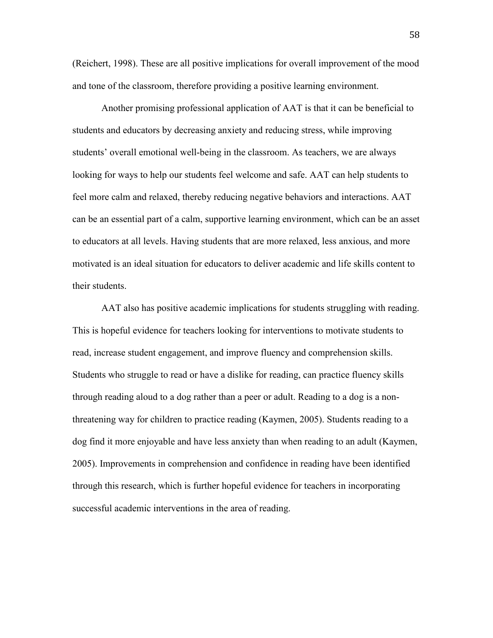(Reichert, 1998). These are all positive implications for overall improvement of the mood and tone of the classroom, therefore providing a positive learning environment.

 Another promising professional application of AAT is that it can be beneficial to students and educators by decreasing anxiety and reducing stress, while improving students' overall emotional well-being in the classroom. As teachers, we are always looking for ways to help our students feel welcome and safe. AAT can help students to feel more calm and relaxed, thereby reducing negative behaviors and interactions. AAT can be an essential part of a calm, supportive learning environment, which can be an asset to educators at all levels. Having students that are more relaxed, less anxious, and more motivated is an ideal situation for educators to deliver academic and life skills content to their students.

AAT also has positive academic implications for students struggling with reading. This is hopeful evidence for teachers looking for interventions to motivate students to read, increase student engagement, and improve fluency and comprehension skills. Students who struggle to read or have a dislike for reading, can practice fluency skills through reading aloud to a dog rather than a peer or adult. Reading to a dog is a nonthreatening way for children to practice reading (Kaymen, 2005). Students reading to a dog find it more enjoyable and have less anxiety than when reading to an adult (Kaymen, 2005). Improvements in comprehension and confidence in reading have been identified through this research, which is further hopeful evidence for teachers in incorporating successful academic interventions in the area of reading.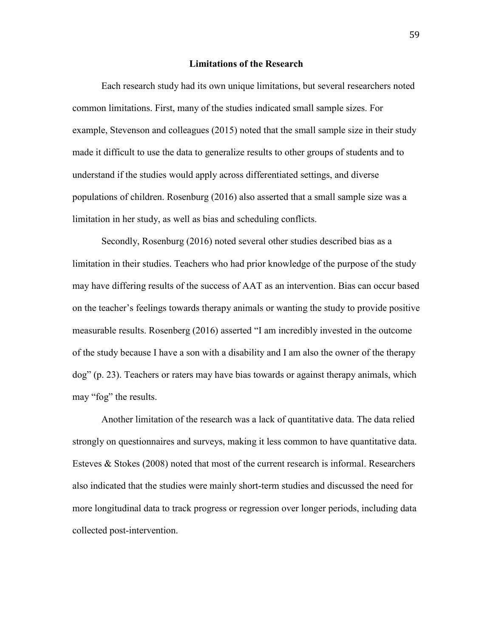# **Limitations of the Research**

 Each research study had its own unique limitations, but several researchers noted common limitations. First, many of the studies indicated small sample sizes. For example, Stevenson and colleagues (2015) noted that the small sample size in their study made it difficult to use the data to generalize results to other groups of students and to understand if the studies would apply across differentiated settings, and diverse populations of children. Rosenburg (2016) also asserted that a small sample size was a limitation in her study, as well as bias and scheduling conflicts.

 Secondly, Rosenburg (2016) noted several other studies described bias as a limitation in their studies. Teachers who had prior knowledge of the purpose of the study may have differing results of the success of AAT as an intervention. Bias can occur based on the teacher's feelings towards therapy animals or wanting the study to provide positive measurable results. Rosenberg (2016) asserted "I am incredibly invested in the outcome of the study because I have a son with a disability and I am also the owner of the therapy dog" (p. 23). Teachers or raters may have bias towards or against therapy animals, which may "fog" the results.

 Another limitation of the research was a lack of quantitative data. The data relied strongly on questionnaires and surveys, making it less common to have quantitative data. Esteves  $\&$  Stokes (2008) noted that most of the current research is informal. Researchers also indicated that the studies were mainly short-term studies and discussed the need for more longitudinal data to track progress or regression over longer periods, including data collected post-intervention.

59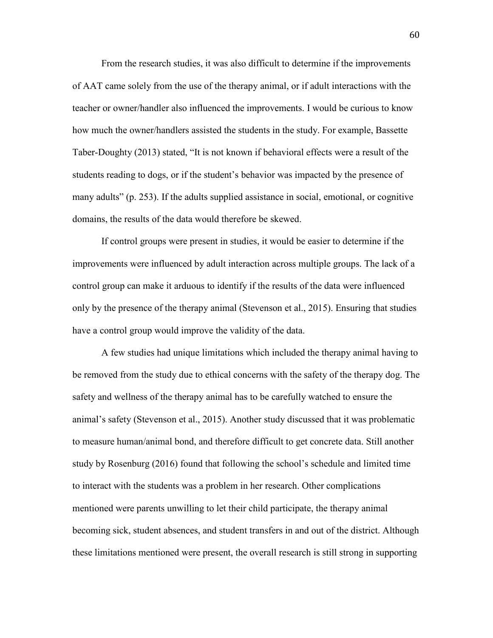From the research studies, it was also difficult to determine if the improvements of AAT came solely from the use of the therapy animal, or if adult interactions with the teacher or owner/handler also influenced the improvements. I would be curious to know how much the owner/handlers assisted the students in the study. For example, Bassette Taber-Doughty (2013) stated, "It is not known if behavioral effects were a result of the students reading to dogs, or if the student's behavior was impacted by the presence of many adults" (p. 253). If the adults supplied assistance in social, emotional, or cognitive domains, the results of the data would therefore be skewed.

 If control groups were present in studies, it would be easier to determine if the improvements were influenced by adult interaction across multiple groups. The lack of a control group can make it arduous to identify if the results of the data were influenced only by the presence of the therapy animal (Stevenson et al., 2015). Ensuring that studies have a control group would improve the validity of the data.

 A few studies had unique limitations which included the therapy animal having to be removed from the study due to ethical concerns with the safety of the therapy dog. The safety and wellness of the therapy animal has to be carefully watched to ensure the animal's safety (Stevenson et al., 2015). Another study discussed that it was problematic to measure human/animal bond, and therefore difficult to get concrete data. Still another study by Rosenburg (2016) found that following the school's schedule and limited time to interact with the students was a problem in her research. Other complications mentioned were parents unwilling to let their child participate, the therapy animal becoming sick, student absences, and student transfers in and out of the district. Although these limitations mentioned were present, the overall research is still strong in supporting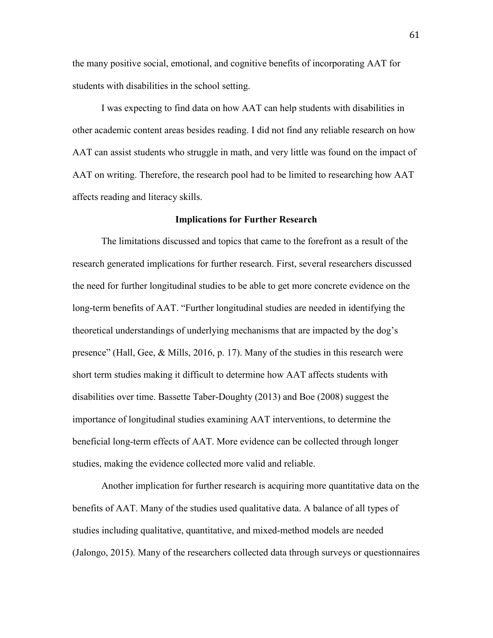the many positive social, emotional, and cognitive benefits of incorporating AAT for students with disabilities in the school setting.

I was expecting to find data on how AAT can help students with disabilities in other academic content areas besides reading. I did not find any reliable research on how AAT can assist students who struggle in math, and very little was found on the impact of AAT on writing. Therefore, the research pool had to be limited to researching how AAT affects reading and literacy skills.

# **Implications for Further Research**

 The limitations discussed and topics that came to the forefront as a result of the research generated implications for further research. First, several researchers discussed the need for further longitudinal studies to be able to get more concrete evidence on the long-term benefits of AAT. "Further longitudinal studies are needed in identifying the theoretical understandings of underlying mechanisms that are impacted by the dog's presence" (Hall, Gee, & Mills, 2016, p. 17). Many of the studies in this research were short term studies making it difficult to determine how AAT affects students with disabilities over time. Bassette Taber-Doughty (2013) and Boe (2008) suggest the importance of longitudinal studies examining AAT interventions, to determine the beneficial long-term effects of AAT. More evidence can be collected through longer studies, making the evidence collected more valid and reliable.

 Another implication for further research is acquiring more quantitative data on the benefits of AAT. Many of the studies used qualitative data. A balance of all types of studies including qualitative, quantitative, and mixed-method models are needed (Jalongo, 2015). Many of the researchers collected data through surveys or questionnaires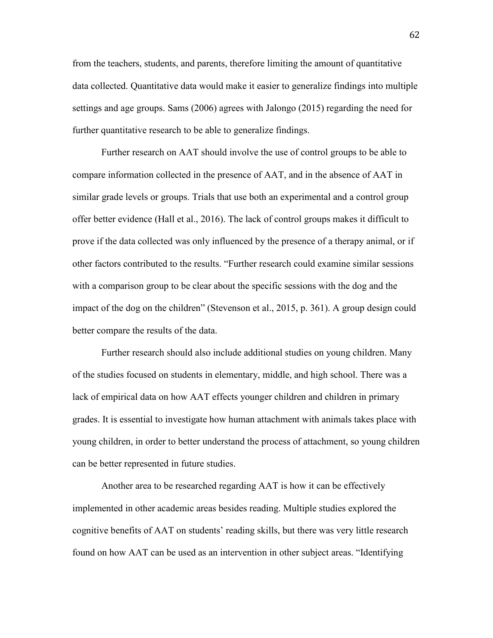from the teachers, students, and parents, therefore limiting the amount of quantitative data collected. Quantitative data would make it easier to generalize findings into multiple settings and age groups. Sams (2006) agrees with Jalongo (2015) regarding the need for further quantitative research to be able to generalize findings.

 Further research on AAT should involve the use of control groups to be able to compare information collected in the presence of AAT, and in the absence of AAT in similar grade levels or groups. Trials that use both an experimental and a control group offer better evidence (Hall et al., 2016). The lack of control groups makes it difficult to prove if the data collected was only influenced by the presence of a therapy animal, or if other factors contributed to the results. "Further research could examine similar sessions with a comparison group to be clear about the specific sessions with the dog and the impact of the dog on the children" (Stevenson et al., 2015, p. 361). A group design could better compare the results of the data.

 Further research should also include additional studies on young children. Many of the studies focused on students in elementary, middle, and high school. There was a lack of empirical data on how AAT effects younger children and children in primary grades. It is essential to investigate how human attachment with animals takes place with young children, in order to better understand the process of attachment, so young children can be better represented in future studies.

Another area to be researched regarding AAT is how it can be effectively implemented in other academic areas besides reading. Multiple studies explored the cognitive benefits of AAT on students' reading skills, but there was very little research found on how AAT can be used as an intervention in other subject areas. "Identifying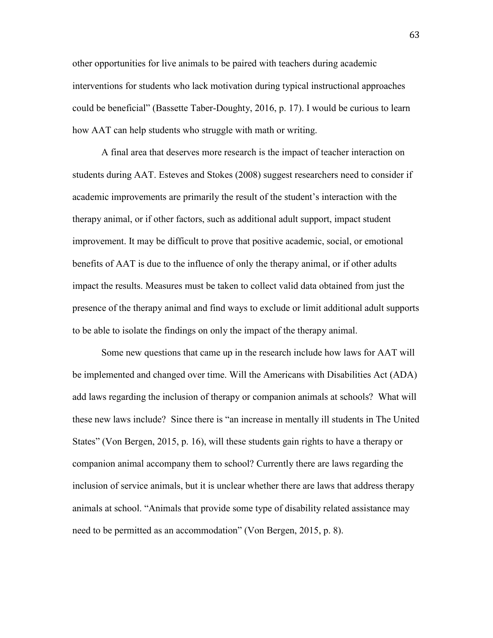other opportunities for live animals to be paired with teachers during academic interventions for students who lack motivation during typical instructional approaches could be beneficial" (Bassette Taber-Doughty, 2016, p. 17). I would be curious to learn how AAT can help students who struggle with math or writing.

A final area that deserves more research is the impact of teacher interaction on students during AAT. Esteves and Stokes (2008) suggest researchers need to consider if academic improvements are primarily the result of the student's interaction with the therapy animal, or if other factors, such as additional adult support, impact student improvement. It may be difficult to prove that positive academic, social, or emotional benefits of AAT is due to the influence of only the therapy animal, or if other adults impact the results. Measures must be taken to collect valid data obtained from just the presence of the therapy animal and find ways to exclude or limit additional adult supports to be able to isolate the findings on only the impact of the therapy animal.

 Some new questions that came up in the research include how laws for AAT will be implemented and changed over time. Will the Americans with Disabilities Act (ADA) add laws regarding the inclusion of therapy or companion animals at schools? What will these new laws include? Since there is "an increase in mentally ill students in The United States" (Von Bergen, 2015, p. 16), will these students gain rights to have a therapy or companion animal accompany them to school? Currently there are laws regarding the inclusion of service animals, but it is unclear whether there are laws that address therapy animals at school. "Animals that provide some type of disability related assistance may need to be permitted as an accommodation" (Von Bergen, 2015, p. 8).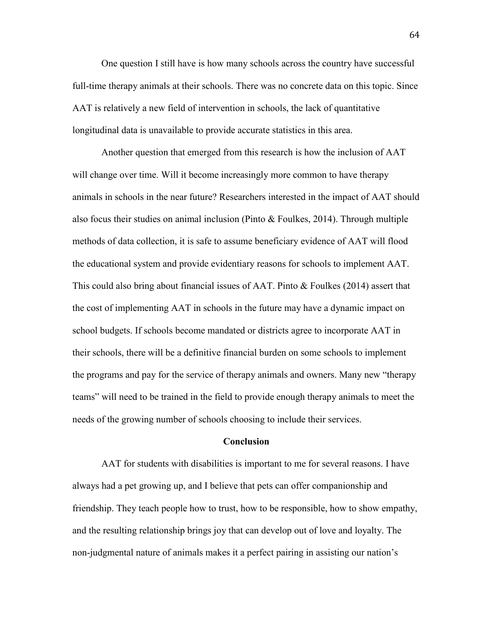One question I still have is how many schools across the country have successful full-time therapy animals at their schools. There was no concrete data on this topic. Since AAT is relatively a new field of intervention in schools, the lack of quantitative longitudinal data is unavailable to provide accurate statistics in this area.

 Another question that emerged from this research is how the inclusion of AAT will change over time. Will it become increasingly more common to have therapy animals in schools in the near future? Researchers interested in the impact of AAT should also focus their studies on animal inclusion (Pinto & Foulkes, 2014). Through multiple methods of data collection, it is safe to assume beneficiary evidence of AAT will flood the educational system and provide evidentiary reasons for schools to implement AAT. This could also bring about financial issues of AAT. Pinto & Foulkes (2014) assert that the cost of implementing AAT in schools in the future may have a dynamic impact on school budgets. If schools become mandated or districts agree to incorporate AAT in their schools, there will be a definitive financial burden on some schools to implement the programs and pay for the service of therapy animals and owners. Many new "therapy teams" will need to be trained in the field to provide enough therapy animals to meet the needs of the growing number of schools choosing to include their services.

# **Conclusion**

AAT for students with disabilities is important to me for several reasons. I have always had a pet growing up, and I believe that pets can offer companionship and friendship. They teach people how to trust, how to be responsible, how to show empathy, and the resulting relationship brings joy that can develop out of love and loyalty. The non-judgmental nature of animals makes it a perfect pairing in assisting our nation's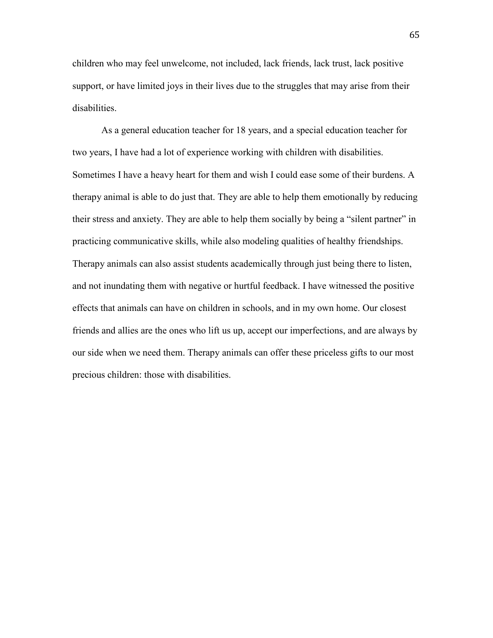children who may feel unwelcome, not included, lack friends, lack trust, lack positive support, or have limited joys in their lives due to the struggles that may arise from their disabilities.

As a general education teacher for 18 years, and a special education teacher for two years, I have had a lot of experience working with children with disabilities. Sometimes I have a heavy heart for them and wish I could ease some of their burdens. A therapy animal is able to do just that. They are able to help them emotionally by reducing their stress and anxiety. They are able to help them socially by being a "silent partner" in practicing communicative skills, while also modeling qualities of healthy friendships. Therapy animals can also assist students academically through just being there to listen, and not inundating them with negative or hurtful feedback. I have witnessed the positive effects that animals can have on children in schools, and in my own home. Our closest friends and allies are the ones who lift us up, accept our imperfections, and are always by our side when we need them. Therapy animals can offer these priceless gifts to our most precious children: those with disabilities.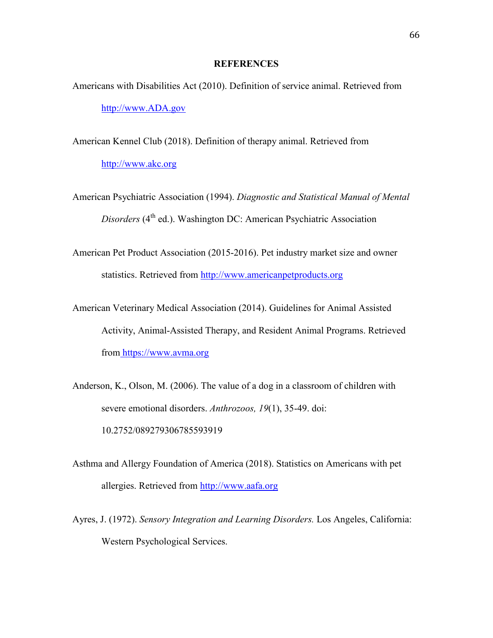# **REFERENCES**

- Americans with Disabilities Act (2010). Definition of service animal. Retrieved from http://www.ADA.gov
- American Kennel Club (2018). Definition of therapy animal. Retrieved from http://www.akc.org
- American Psychiatric Association (1994). *Diagnostic and Statistical Manual of Mental Disorders* (4<sup>th</sup> ed.). Washington DC: American Psychiatric Association
- American Pet Product Association (2015-2016). Pet industry market size and owner statistics. Retrieved from http://www.americanpetproducts.org
- American Veterinary Medical Association (2014). Guidelines for Animal Assisted Activity, Animal-Assisted Therapy, and Resident Animal Programs. Retrieved from https://www.avma.org
- Anderson, K., Olson, M. (2006). The value of a dog in a classroom of children with severe emotional disorders. *Anthrozoos, 19*(1), 35-49. doi: 10.2752/089279306785593919
- Asthma and Allergy Foundation of America (2018). Statistics on Americans with pet allergies. Retrieved from http://www.aafa.org
- Ayres, J. (1972). *Sensory Integration and Learning Disorders.* Los Angeles, California: Western Psychological Services.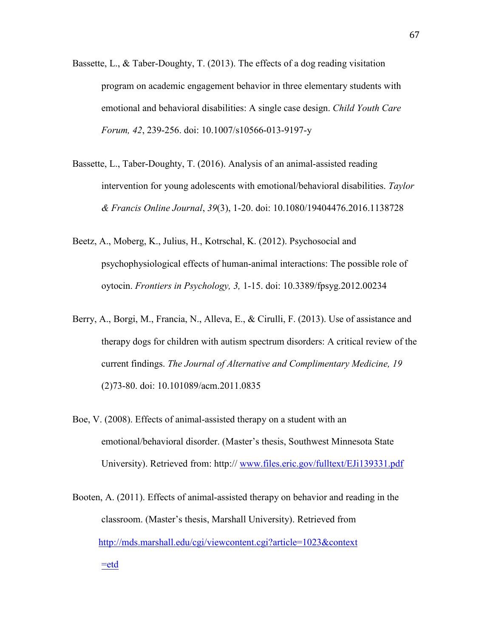- Bassette, L., & Taber-Doughty, T. (2013). The effects of a dog reading visitation program on academic engagement behavior in three elementary students with emotional and behavioral disabilities: A single case design. *Child Youth Care Forum, 42*, 239-256. doi: 10.1007/s10566-013-9197-y
- Bassette, L., Taber-Doughty, T. (2016). Analysis of an animal-assisted reading intervention for young adolescents with emotional/behavioral disabilities. *Taylor & Francis Online Journal*, *39*(3), 1-20. doi: 10.1080/19404476.2016.1138728
- Beetz, A., Moberg, K., Julius, H., Kotrschal, K. (2012). Psychosocial and psychophysiological effects of human-animal interactions: The possible role of oytocin. *Frontiers in Psychology, 3,* 1-15. doi: 10.3389/fpsyg.2012.00234
- Berry, A., Borgi, M., Francia, N., Alleva, E., & Cirulli, F. (2013). Use of assistance and therapy dogs for children with autism spectrum disorders: A critical review of the current findings. *The Journal of Alternative and Complimentary Medicine, 19*  (2)73-80. doi: 10.101089/acm.2011.0835
- Boe, V. (2008). Effects of animal-assisted therapy on a student with an emotional/behavioral disorder. (Master's thesis, Southwest Minnesota State University). Retrieved from: http:// www.files.eric.gov/fulltext/EJi139331.pdf

Booten, A. (2011). Effects of animal-assisted therapy on behavior and reading in the classroom. (Master's thesis, Marshall University). Retrieved from <http://mds.marshall.edu/cgi/viewcontent.cgi?article=1023&context> =etd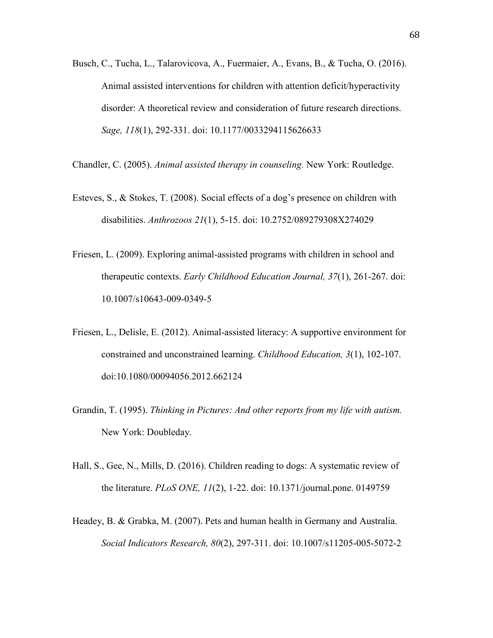Busch, C., Tucha, L., Talarovicova, A., Fuermaier, A., Evans, B., & Tucha, O. (2016). Animal assisted interventions for children with attention deficit/hyperactivity disorder: A theoretical review and consideration of future research directions. *Sage, 118*(1), 292-331. doi: 10.1177/0033294115626633

Chandler, C. (2005). *Animal assisted therapy in counseling.* New York: Routledge.

- Esteves, S., & Stokes, T. (2008). Social effects of a dog's presence on children with disabilities. *Anthrozoos 21*(1), 5-15. doi: 10.2752/089279308X274029
- Friesen, L. (2009). Exploring animal-assisted programs with children in school and therapeutic contexts. *Early Childhood Education Journal, 37*(1), 261-267. doi: 10.1007/s10643-009-0349-5
- Friesen, L., Delisle, E. (2012). Animal-assisted literacy: A supportive environment for constrained and unconstrained learning. *Childhood Education, 3*(1), 102-107. doi:10.1080/00094056.2012.662124
- Grandin, T. (1995). *Thinking in Pictures: And other reports from my life with autism.*  New York: Doubleday.
- Hall, S., Gee, N., Mills, D. (2016). Children reading to dogs: A systematic review of the literature. *PLoS ONE, 11*(2), 1-22. doi: 10.1371/journal.pone. 0149759
- Headey, B. & Grabka, M. (2007). Pets and human health in Germany and Australia. *Social Indicators Research, 80*(2), 297-311. doi: 10.1007/s11205-005-5072-2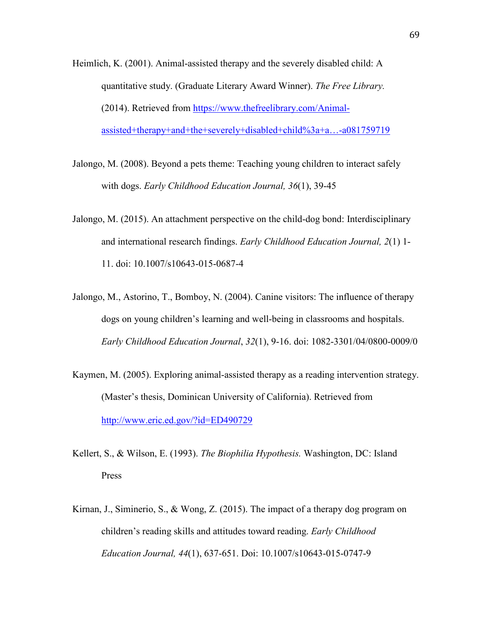- Heimlich, K. (2001). Animal-assisted therapy and the severely disabled child: A quantitative study. (Graduate Literary Award Winner). *The Free Library.* (2014). Retrieved from [https://www.thefreelibrary.com/Animal](https://www.thefreelibrary.com/Animal-)assisted+therapy+and+the+severely+disabled+child%3a+a…-a081759719
- Jalongo, M. (2008). Beyond a pets theme: Teaching young children to interact safely with dogs. *Early Childhood Education Journal, 36*(1), 39-45
- Jalongo, M. (2015). An attachment perspective on the child-dog bond: Interdisciplinary and international research findings. *Early Childhood Education Journal, 2*(1) 1- 11. doi: 10.1007/s10643-015-0687-4
- Jalongo, M., Astorino, T., Bomboy, N. (2004). Canine visitors: The influence of therapy dogs on young children's learning and well-being in classrooms and hospitals. *Early Childhood Education Journal*, *32*(1), 9-16. doi: 1082-3301/04/0800-0009/0
- Kaymen, M. (2005). Exploring animal-assisted therapy as a reading intervention strategy. (Master's thesis, Dominican University of California). Retrieved from http://www.eric.ed.gov/?id=ED490729
- Kellert, S., & Wilson, E. (1993). *The Biophilia Hypothesis.* Washington, DC: Island Press
- Kirnan, J., Siminerio, S., & Wong, Z. (2015). The impact of a therapy dog program on children's reading skills and attitudes toward reading. *Early Childhood Education Journal, 44*(1), 637-651. Doi: 10.1007/s10643-015-0747-9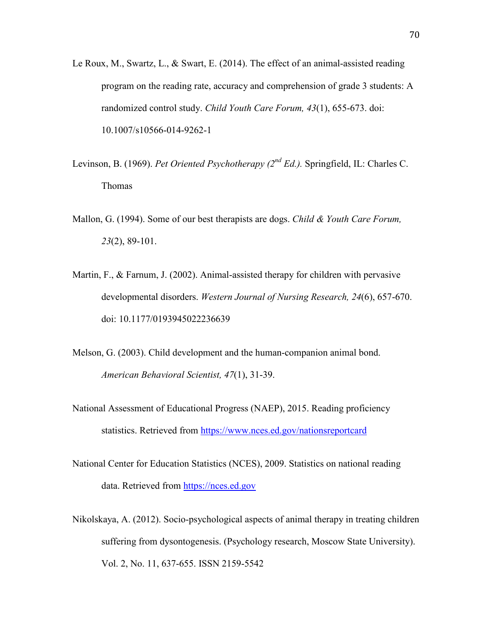- Le Roux, M., Swartz, L., & Swart, E. (2014). The effect of an animal-assisted reading program on the reading rate, accuracy and comprehension of grade 3 students: A randomized control study. *Child Youth Care Forum, 43*(1), 655-673. doi: 10.1007/s10566-014-9262-1
- Levinson, B. (1969). *Pet Oriented Psychotherapy (2nd Ed.).* Springfield, IL: Charles C. Thomas
- Mallon, G. (1994). Some of our best therapists are dogs. *Child & Youth Care Forum, 23*(2), 89-101.
- Martin, F., & Farnum, J. (2002). Animal-assisted therapy for children with pervasive developmental disorders. *Western Journal of Nursing Research, 24*(6), 657-670. doi: 10.1177/0193945022236639
- Melson, G. (2003). Child development and the human-companion animal bond. *American Behavioral Scientist, 47*(1), 31-39.
- National Assessment of Educational Progress (NAEP), 2015. Reading proficiency statistics. Retrieved from <https://www.nces.ed.gov/nationsreportcard>
- National Center for Education Statistics (NCES), 2009. Statistics on national reading data. Retrieved from https://nces.ed.gov
- Nikolskaya, A. (2012). Socio-psychological aspects of animal therapy in treating children suffering from dysontogenesis. (Psychology research, Moscow State University). Vol. 2, No. 11, 637-655. ISSN 2159-5542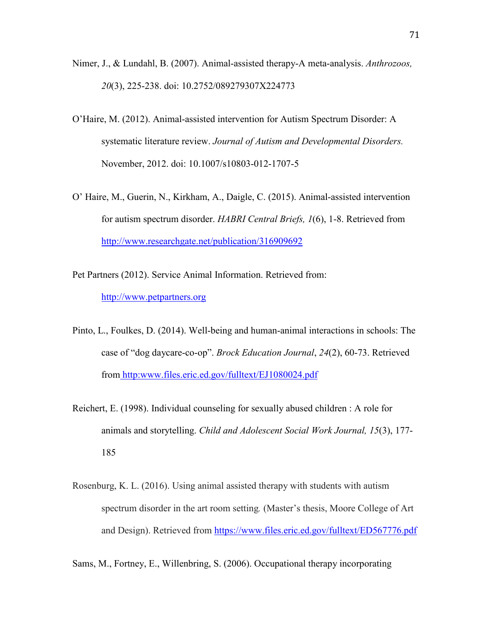- Nimer, J., & Lundahl, B. (2007). Animal-assisted therapy-A meta-analysis. *Anthrozoos, 20*(3), 225-238. doi: 10.2752/089279307X224773
- O'Haire, M. (2012). Animal-assisted intervention for Autism Spectrum Disorder: A systematic literature review. *Journal of Autism and Developmental Disorders.*  November, 2012. doi: 10.1007/s10803-012-1707-5
- O' Haire, M., Guerin, N., Kirkham, A., Daigle, C. (2015). Animal-assisted intervention for autism spectrum disorder. *HABRI Central Briefs, 1*(6), 1-8. Retrieved from <http://www.researchgate.net/publication/316909692>
- Pet Partners (2012). Service Animal Information. Retrieved from: http://www.petpartners.org
- Pinto, L., Foulkes, D. (2014). Well-being and human-animal interactions in schools: The case of "dog daycare-co-op". *Brock Education Journal*, *24*(2), 60-73. Retrieved from http:www.files.eric.ed.gov/fulltext/EJ1080024.pdf
- Reichert, E. (1998). Individual counseling for sexually abused children : A role for animals and storytelling. *Child and Adolescent Social Work Journal, 15*(3), 177- 185
- Rosenburg, K. L. (2016). Using animal assisted therapy with students with autism spectrum disorder in the art room setting*.* (Master's thesis, Moore College of Art and Design). Retrieved from https://www.files.eric.ed.gov/fulltext/ED567776.pdf
- Sams, M., Fortney, E., Willenbring, S. (2006). Occupational therapy incorporating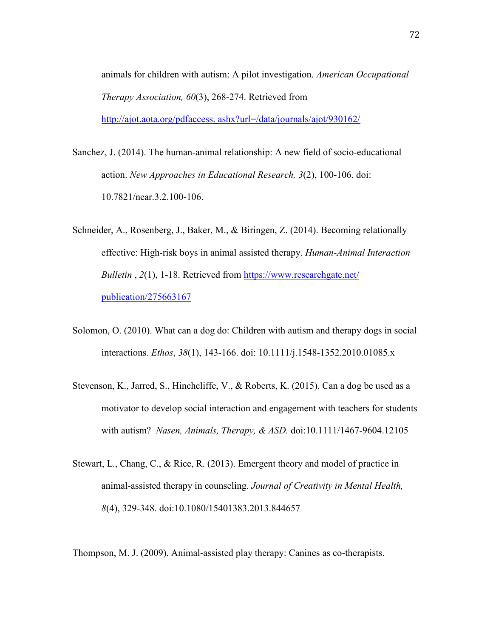animals for children with autism: A pilot investigation. *American Occupational Therapy Association, 60*(3), 268-274. Retrieved from [http://ajot.aota.org/pdfaccess.](http://ajot.aota.org/pdfaccess) ashx?url=/data/journals/ajot/930162/

Sanchez, J. (2014). The human-animal relationship: A new field of socio-educational action. *New Approaches in Educational Research, 3*(2), 100-106. doi: 10.7821/near.3.2.100-106.

- Schneider, A., Rosenberg, J., Baker, M., & Biringen, Z. (2014). Becoming relationally effective: High-risk boys in animal assisted therapy. *Human-Animal Interaction Bulletin*, 2(1), 1-18. Retrieved from https://www.researchgate.net/ publication/275663167
- Solomon, O. (2010). What can a dog do: Children with autism and therapy dogs in social interactions. *Ethos*, *38*(1), 143-166. doi: 10.1111/j.1548-1352.2010.01085.x
- Stevenson, K., Jarred, S., Hinchcliffe, V., & Roberts, K. (2015). Can a dog be used as a motivator to develop social interaction and engagement with teachers for students with autism? *Nasen, Animals, Therapy, & ASD.* doi:10.1111/1467-9604.12105
- Stewart, L., Chang, C., & Rice, R. (2013). Emergent theory and model of practice in animal-assisted therapy in counseling. *Journal of Creativity in Mental Health, 8*(4), 329-348. doi:10.1080/15401383.2013.844657

Thompson, M. J. (2009). Animal-assisted play therapy: Canines as co-therapists.